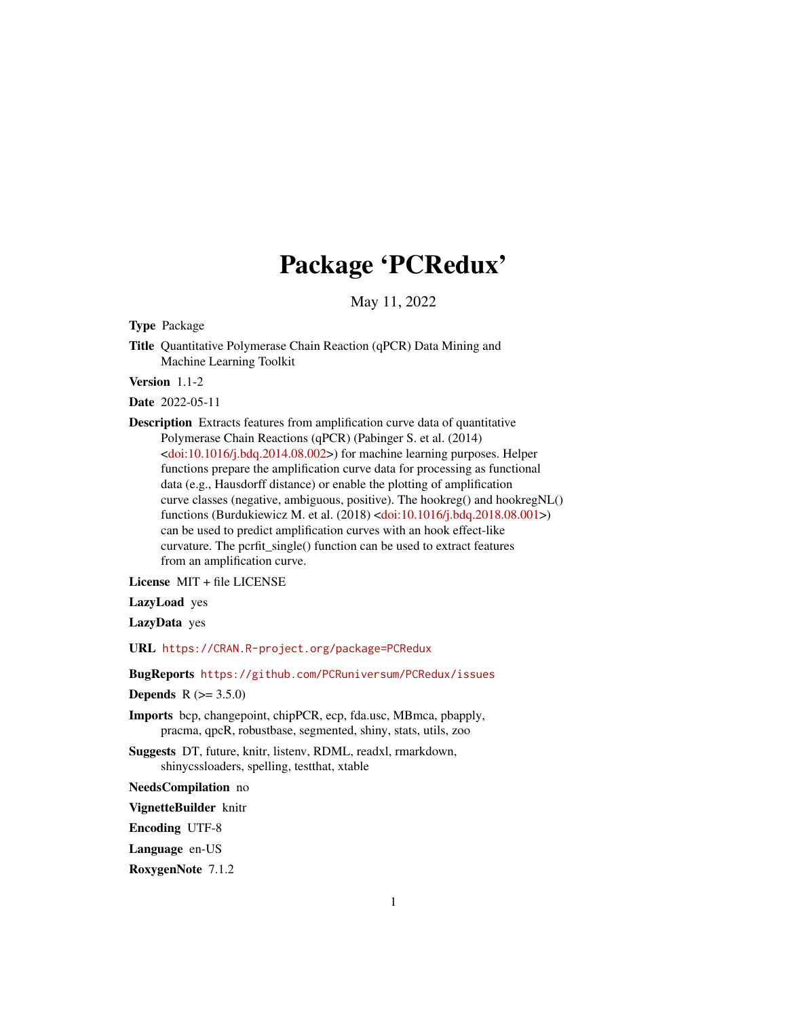# Package 'PCRedux'

May 11, 2022

<span id="page-0-0"></span>Type Package

Title Quantitative Polymerase Chain Reaction (qPCR) Data Mining and Machine Learning Toolkit

Version 1.1-2

Date 2022-05-11

Description Extracts features from amplification curve data of quantitative Polymerase Chain Reactions (qPCR) (Pabinger S. et al. (2014)  $\langle \text{doi:10.1016/j.bdq}.2014.08.002 \rangle$  for machine learning purposes. Helper functions prepare the amplification curve data for processing as functional data (e.g., Hausdorff distance) or enable the plotting of amplification curve classes (negative, ambiguous, positive). The hookreg() and hookregNL() functions (Burdukiewicz M. et al. (2018) [<doi:10.1016/j.bdq.2018.08.001>](https://doi.org/10.1016/j.bdq.2018.08.001)) can be used to predict amplification curves with an hook effect-like curvature. The pcrfit single() function can be used to extract features from an amplification curve.

License MIT + file LICENSE

LazyLoad yes

LazyData yes

URL <https://CRAN.R-project.org/package=PCRedux>

BugReports <https://github.com/PCRuniversum/PCRedux/issues>

**Depends**  $R (= 3.5.0)$ 

Imports bcp, changepoint, chipPCR, ecp, fda.usc, MBmca, pbapply, pracma, qpcR, robustbase, segmented, shiny, stats, utils, zoo

Suggests DT, future, knitr, listenv, RDML, readxl, rmarkdown, shinycssloaders, spelling, testthat, xtable

NeedsCompilation no

VignetteBuilder knitr

Encoding UTF-8

Language en-US

RoxygenNote 7.1.2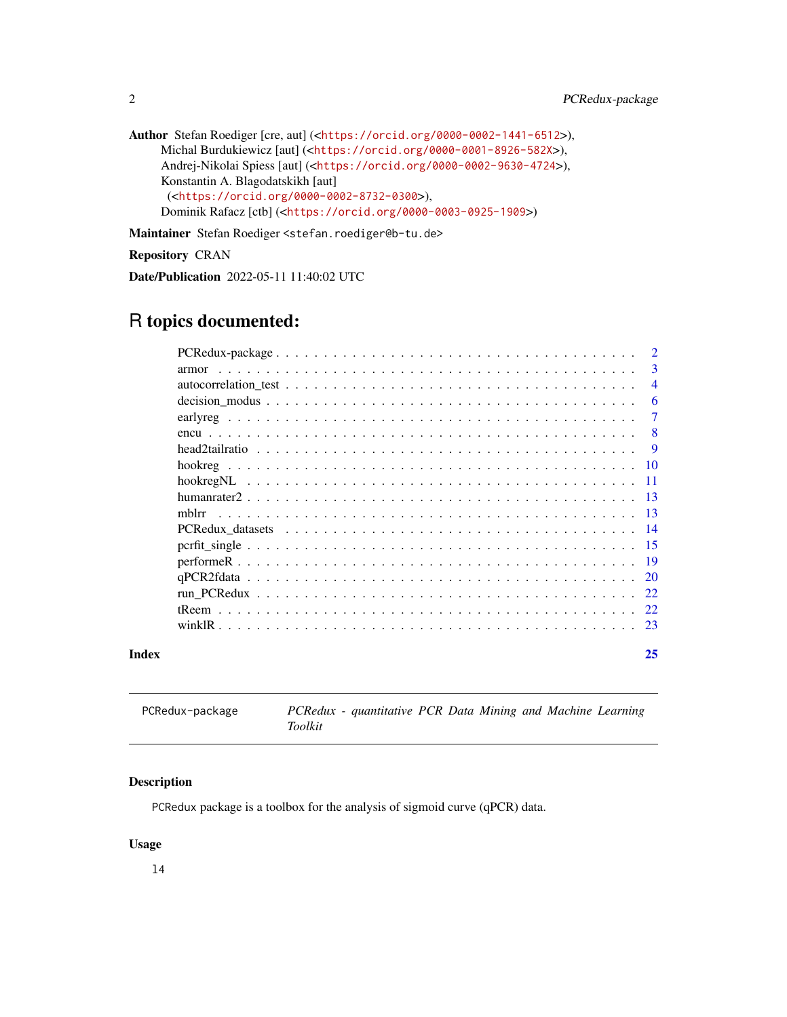```
Author Stefan Roediger [cre, aut] (<https://orcid.org/0000-0002-1441-6512>),
     Michal Burdukiewicz [aut] (<https://orcid.org/0000-0001-8926-582X>),
     Andrej-Nikolai Spiess [aut] (<https://orcid.org/0000-0002-9630-4724>),
     Konstantin A. Blagodatskikh [aut]
      (<https://orcid.org/0000-0002-8732-0300>),
     Dominik Rafacz [ctb] (<https://orcid.org/0000-0003-0925-1909>)
```
Maintainer Stefan Roediger <stefan.roediger@b-tu.de>

Repository CRAN

Date/Publication 2022-05-11 11:40:02 UTC

# R topics documented:

|       |       | $\overline{2}$ |
|-------|-------|----------------|
|       | armor | -3             |
|       |       | $\overline{4}$ |
|       |       | 6              |
|       |       | $\tau$         |
|       |       | - 8            |
|       |       | -9             |
|       |       |                |
|       |       |                |
|       |       |                |
|       | mblrr |                |
|       |       |                |
|       |       |                |
|       |       |                |
|       |       |                |
|       |       |                |
|       |       |                |
|       |       |                |
| Index |       | 25             |

PCRedux-package *PCRedux - quantitative PCR Data Mining and Machine Learning Toolkit*

# Description

PCRedux package is a toolbox for the analysis of sigmoid curve (qPCR) data.

#### Usage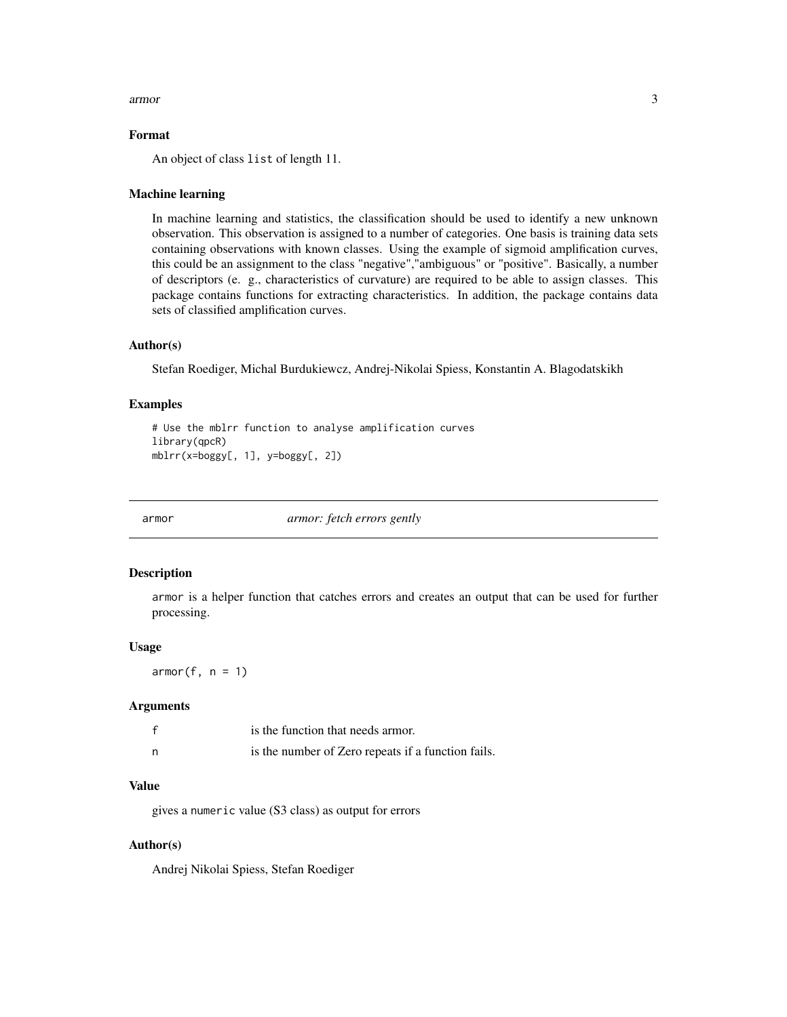#### <span id="page-2-0"></span>armor 3

# Format

An object of class list of length 11.

# Machine learning

In machine learning and statistics, the classification should be used to identify a new unknown observation. This observation is assigned to a number of categories. One basis is training data sets containing observations with known classes. Using the example of sigmoid amplification curves, this could be an assignment to the class "negative","ambiguous" or "positive". Basically, a number of descriptors (e. g., characteristics of curvature) are required to be able to assign classes. This package contains functions for extracting characteristics. In addition, the package contains data sets of classified amplification curves.

# Author(s)

Stefan Roediger, Michal Burdukiewcz, Andrej-Nikolai Spiess, Konstantin A. Blagodatskikh

# Examples

```
# Use the mblrr function to analyse amplification curves
library(qpcR)
mblrr(x=boggy[, 1], y=boggy[, 2])
```
armor *armor: fetch errors gently*

# Description

armor is a helper function that catches errors and creates an output that can be used for further processing.

#### Usage

 $armor(f, n = 1)$ 

# Arguments

|   | is the function that needs armor.                  |
|---|----------------------------------------------------|
| n | is the number of Zero repeats if a function fails. |

#### Value

gives a numeric value (S3 class) as output for errors

# Author(s)

Andrej Nikolai Spiess, Stefan Roediger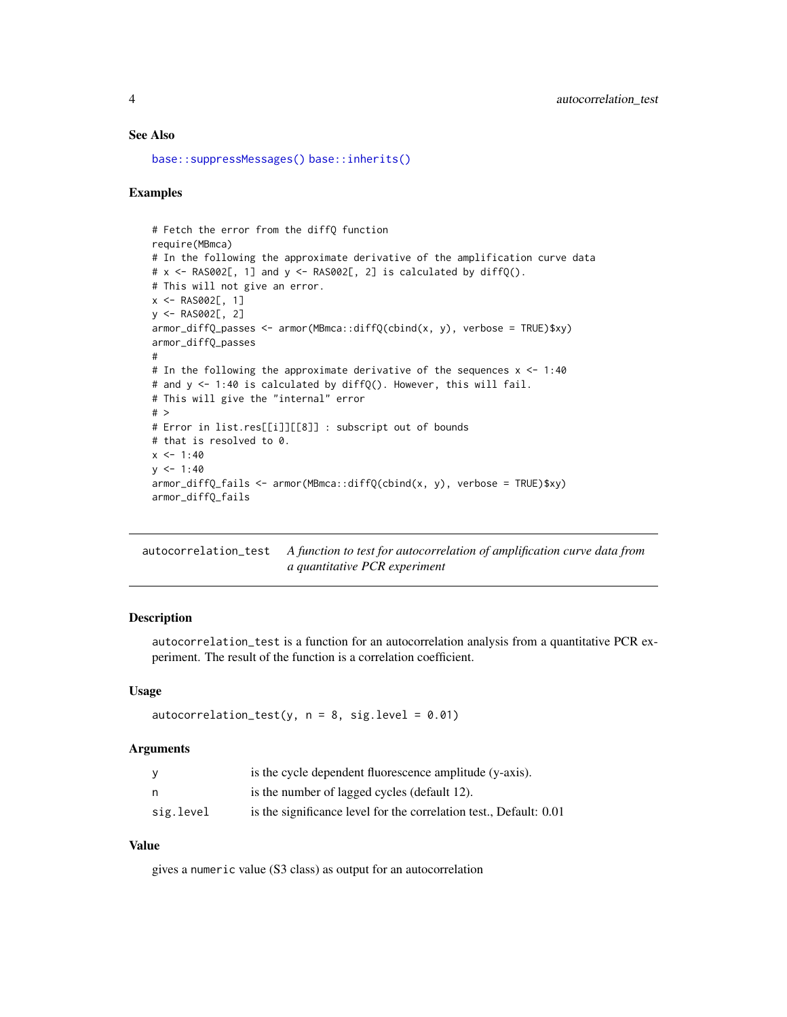# See Also

```
base::suppressMessages() base::inherits()
```
# Examples

```
# Fetch the error from the diffQ function
require(MBmca)
# In the following the approximate derivative of the amplification curve data
# x \leq - RAS002[, 1] and y \leq - RAS002[, 2] is calculated by diffQ().
# This will not give an error.
x \leq - RAS002[, 1]
y <- RAS002[, 2]
armor_diffQ_passes <- armor(MBmca::diffQ(cbind(x, y), verbose = TRUE)$xy)
armor_diffQ_passes
#
# In the following the approximate derivative of the sequences x <- 1:40
# and y <- 1:40 is calculated by diffQ(). However, this will fail.
# This will give the "internal" error
# >
# Error in list.res[[i]][[8]] : subscript out of bounds
# that is resolved to 0.
x < -1:40y \le -1:40armor_diffQ_fails <- armor(MBmca::diffQ(cbind(x, y), verbose = TRUE)$xy)
armor_diffQ_fails
```
<span id="page-3-1"></span>autocorrelation\_test *A function to test for autocorrelation of amplification curve data from a quantitative PCR experiment*

# Description

autocorrelation\_test is a function for an autocorrelation analysis from a quantitative PCR experiment. The result of the function is a correlation coefficient.

#### Usage

autocorrelation\_test(y,  $n = 8$ , sig.level = 0.01)

#### Arguments

|           | is the cycle dependent fluorescence amplitude (y-axis).            |
|-----------|--------------------------------------------------------------------|
| n         | is the number of lagged cycles (default 12).                       |
| sig.level | is the significance level for the correlation test., Default: 0.01 |

# Value

gives a numeric value (S3 class) as output for an autocorrelation

<span id="page-3-0"></span>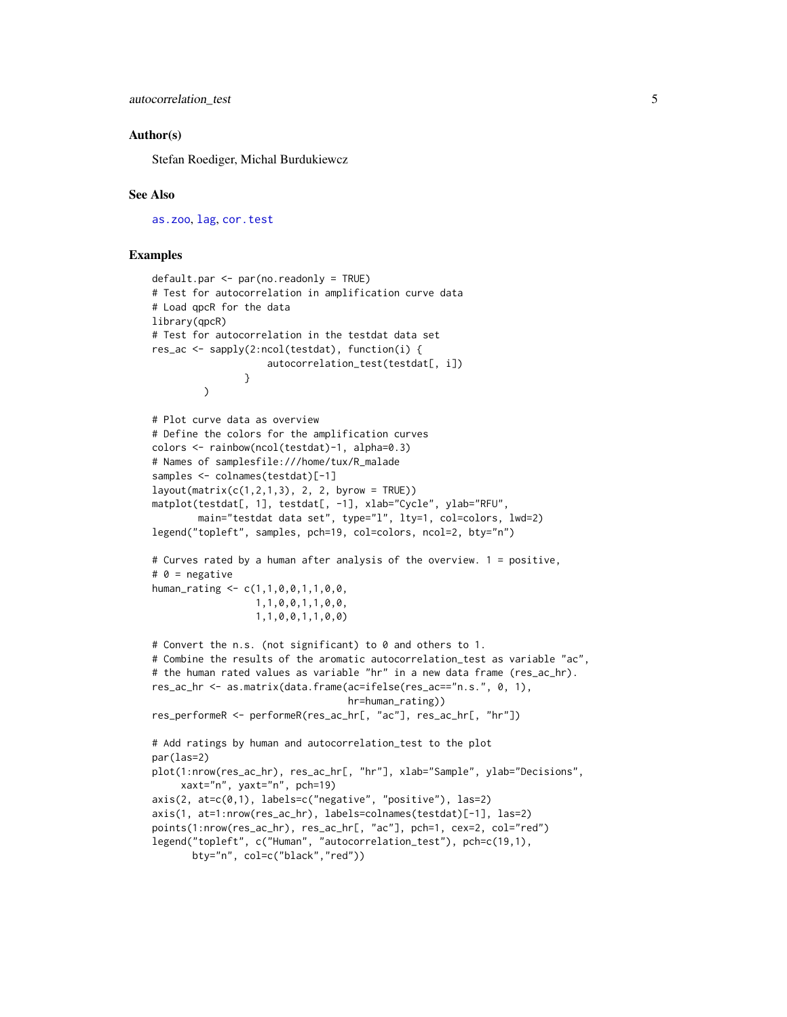<span id="page-4-0"></span>autocorrelation\_test 5

# Author(s)

Stefan Roediger, Michal Burdukiewcz

#### See Also

[as.zoo](#page-0-0), [lag](#page-0-0), [cor.test](#page-0-0)

#### Examples

```
defaultpar \leftarrow par(no.readonly = TRUE)# Test for autocorrelation in amplification curve data
# Load qpcR for the data
library(qpcR)
# Test for autocorrelation in the testdat data set
res_ac <- sapply(2:ncol(testdat), function(i) {
                    autocorrelation_test(testdat[, i])
                }
         \lambda# Plot curve data as overview
# Define the colors for the amplification curves
colors <- rainbow(ncol(testdat)-1, alpha=0.3)
# Names of samplesfile:///home/tux/R_malade
samples <- colnames(testdat)[-1]
layout(maxrix(c(1,2,1,3), 2, 2, byrow = TRUE))matplot(testdat[, 1], testdat[, -1], xlab="Cycle", ylab="RFU",
        main="testdat data set", type="l", lty=1, col=colors, lwd=2)
legend("topleft", samples, pch=19, col=colors, ncol=2, bty="n")
# Curves rated by a human after analysis of the overview. 1 = positive,
# 0 = negative
human_rating <- c(1,1,0,0,1,1,0,0,
                  1,1,0,0,1,1,0,0,
                  1,1,0,0,1,1,0,0)
# Convert the n.s. (not significant) to 0 and others to 1.
# Combine the results of the aromatic autocorrelation_test as variable "ac",
# the human rated values as variable "hr" in a new data frame (res_ac_hr).
res_ac_hr <- as.matrix(data.frame(ac=ifelse(res_ac=="n.s.", 0, 1),
                                  hr=human_rating))
res_performeR <- performeR(res_ac_hr[, "ac"], res_ac_hr[, "hr"])
# Add ratings by human and autocorrelation_test to the plot
par(las=2)
plot(1:nrow(res_ac_hr), res_ac_hr[, "hr"], xlab="Sample", ylab="Decisions",
     xaxt="n", yaxt="n", pch=19)
axis(2, at=c(0,1), labels=c("negative", "positive"), las=2)
axis(1, at=1:nrow(res_ac_hr), labels=colnames(testdat)[-1], las=2)
points(1:nrow(res_ac_hr), res_ac_hr[, "ac"], pch=1, cex=2, col="red")
legend("topleft", c("Human", "autocorrelation_test"), pch=c(19,1),
       bty="n", col=c("black","red"))
```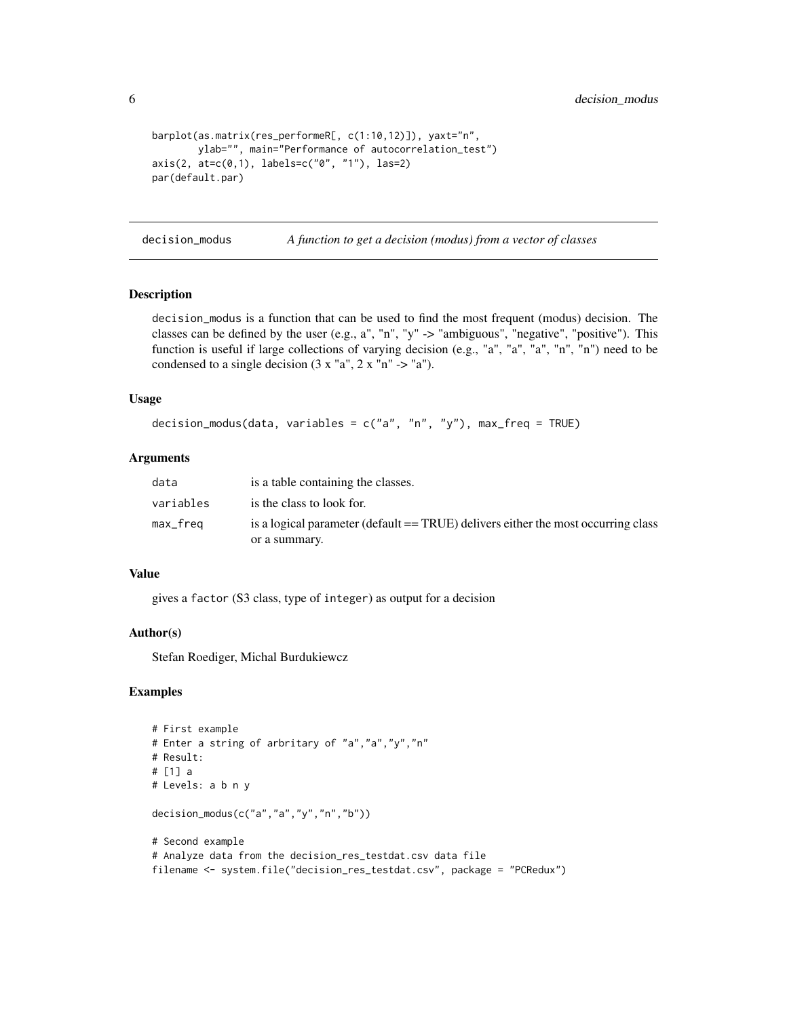<span id="page-5-0"></span>6 decision\_modus

```
barplot(as.matrix(res_performeR[, c(1:10,12)]), yaxt="n",
       ylab="", main="Performance of autocorrelation_test")
axis(2, at=c(0,1), labels=c("0", "1"), las=2)
par(default.par)
```
decision\_modus *A function to get a decision (modus) from a vector of classes*

# Description

decision\_modus is a function that can be used to find the most frequent (modus) decision. The classes can be defined by the user (e.g.,  $a''$ , "n", "y" -> "ambiguous", "negative", "positive"). This function is useful if large collections of varying decision (e.g., "a", "a", "a", "n", "n") need to be condensed to a single decision  $(3 x "a", 2 x "n" -> "a").$ 

#### Usage

```
decision_modus(data, variables = c("a", "n", "y"), max_freq = TRUE)
```
# Arguments

| data      | is a table containing the classes.                                                                 |
|-----------|----------------------------------------------------------------------------------------------------|
| variables | is the class to look for.                                                                          |
| max_freq  | is a logical parameter (default == TRUE) delivers either the most occurring class<br>or a summary. |

# Value

gives a factor (S3 class, type of integer) as output for a decision

## Author(s)

Stefan Roediger, Michal Burdukiewcz

# Examples

```
# First example
# Enter a string of arbritary of "a","a","y","n"
# Result:
# [1] a
# Levels: a b n y
decision_modus(c("a","a","y","n","b"))
# Second example
# Analyze data from the decision_res_testdat.csv data file
filename <- system.file("decision_res_testdat.csv", package = "PCRedux")
```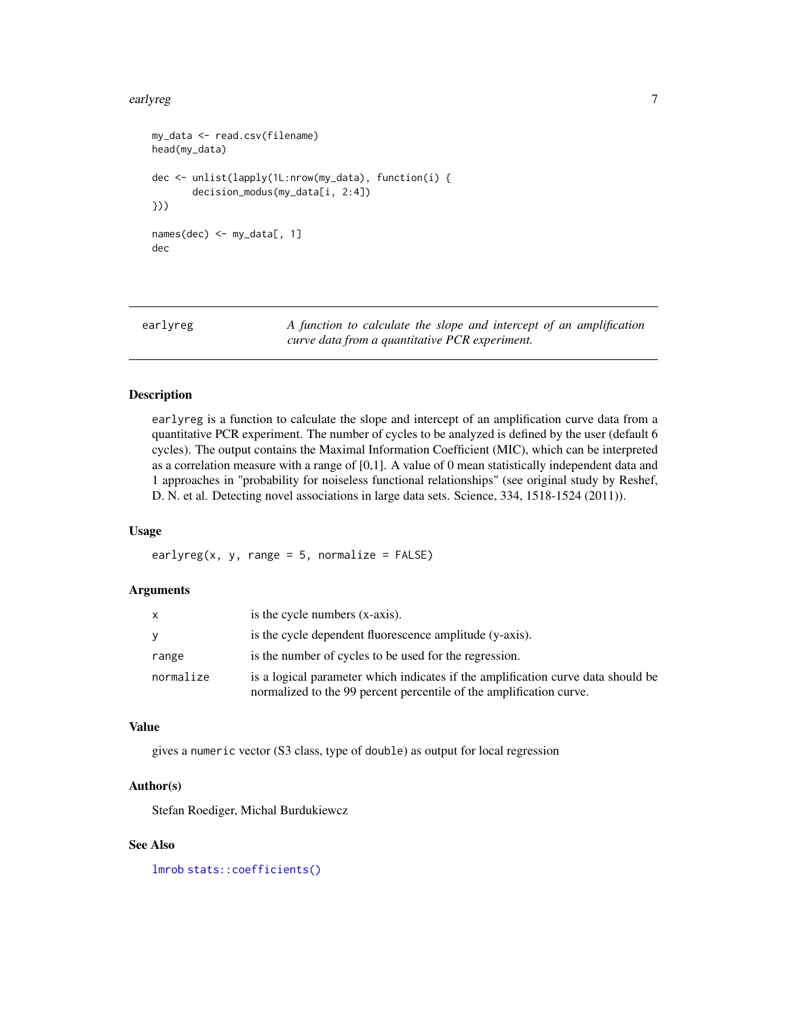#### <span id="page-6-0"></span>earlyreg **7**

```
my_data <- read.csv(filename)
head(my_data)
dec <- unlist(lapply(1L:nrow(my_data), function(i) {
       decision_modus(my_data[i, 2:4])
}))
names(dec) <- my_data[, 1]
dec
```
<span id="page-6-1"></span>

earlyreg *A function to calculate the slope and intercept of an amplification curve data from a quantitative PCR experiment.*

# Description

earlyreg is a function to calculate the slope and intercept of an amplification curve data from a quantitative PCR experiment. The number of cycles to be analyzed is defined by the user (default 6 cycles). The output contains the Maximal Information Coefficient (MIC), which can be interpreted as a correlation measure with a range of [0,1]. A value of 0 mean statistically independent data and 1 approaches in "probability for noiseless functional relationships" (see original study by Reshef, D. N. et al. Detecting novel associations in large data sets. Science, 334, 1518-1524 (2011)).

# Usage

earlyreg(x, y, range =  $5$ , normalize =  $FALSE$ )

#### Arguments

|           | is the cycle numbers (x-axis).                                                                                                                          |
|-----------|---------------------------------------------------------------------------------------------------------------------------------------------------------|
|           | is the cycle dependent fluorescence amplitude (y-axis).                                                                                                 |
| range     | is the number of cycles to be used for the regression.                                                                                                  |
| normalize | is a logical parameter which indicates if the amplification curve data should be<br>normalized to the 99 percent percentile of the amplification curve. |

# Value

gives a numeric vector (S3 class, type of double) as output for local regression

# Author(s)

Stefan Roediger, Michal Burdukiewcz

# See Also

[lmrob](#page-0-0) [stats::coefficients\(\)](#page-0-0)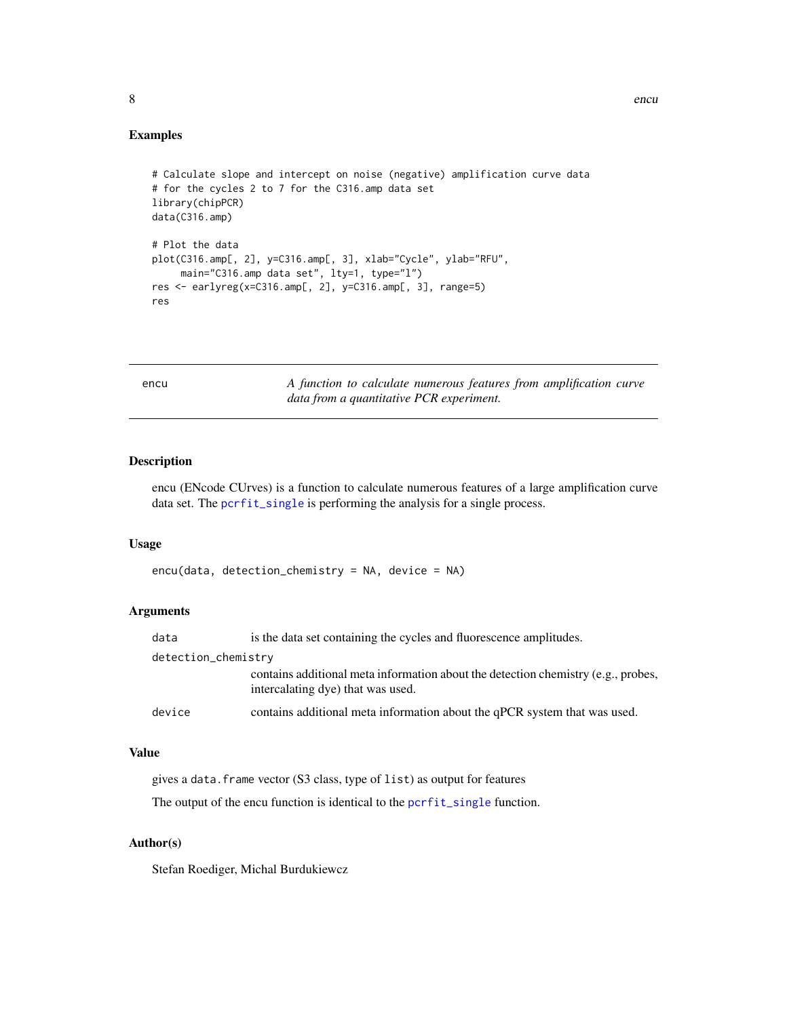# Examples

```
# Calculate slope and intercept on noise (negative) amplification curve data
# for the cycles 2 to 7 for the C316.amp data set
library(chipPCR)
data(C316.amp)
# Plot the data
plot(C316.amp[, 2], y=C316.amp[, 3], xlab="Cycle", ylab="RFU",
    main="C316.amp data set", lty=1, type="l")
res <- earlyreg(x=C316.amp[, 2], y=C316.amp[, 3], range=5)
res
```
<span id="page-7-1"></span>

|  | $\sim$ | ۰,<br>v |
|--|--------|---------|
|  |        |         |

encu *A function to calculate numerous features from amplification curve data from a quantitative PCR experiment.*

#### Description

encu (ENcode CUrves) is a function to calculate numerous features of a large amplification curve data set. The [pcrfit\\_single](#page-14-1) is performing the analysis for a single process.

# Usage

```
encu(data, detection_chemistry = NA, device = NA)
```
# Arguments

| data                | is the data set containing the cycles and fluorescence amplitudes.                                                     |  |
|---------------------|------------------------------------------------------------------------------------------------------------------------|--|
| detection_chemistry |                                                                                                                        |  |
|                     | contains additional meta information about the detection chemistry (e.g., probes,<br>intercalating dye) that was used. |  |
| device              | contains additional meta information about the qPCR system that was used.                                              |  |

# Value

gives a data.frame vector (S3 class, type of list) as output for features

The output of the encu function is identical to the [pcrfit\\_single](#page-14-1) function.

# Author(s)

Stefan Roediger, Michal Burdukiewcz

<span id="page-7-0"></span>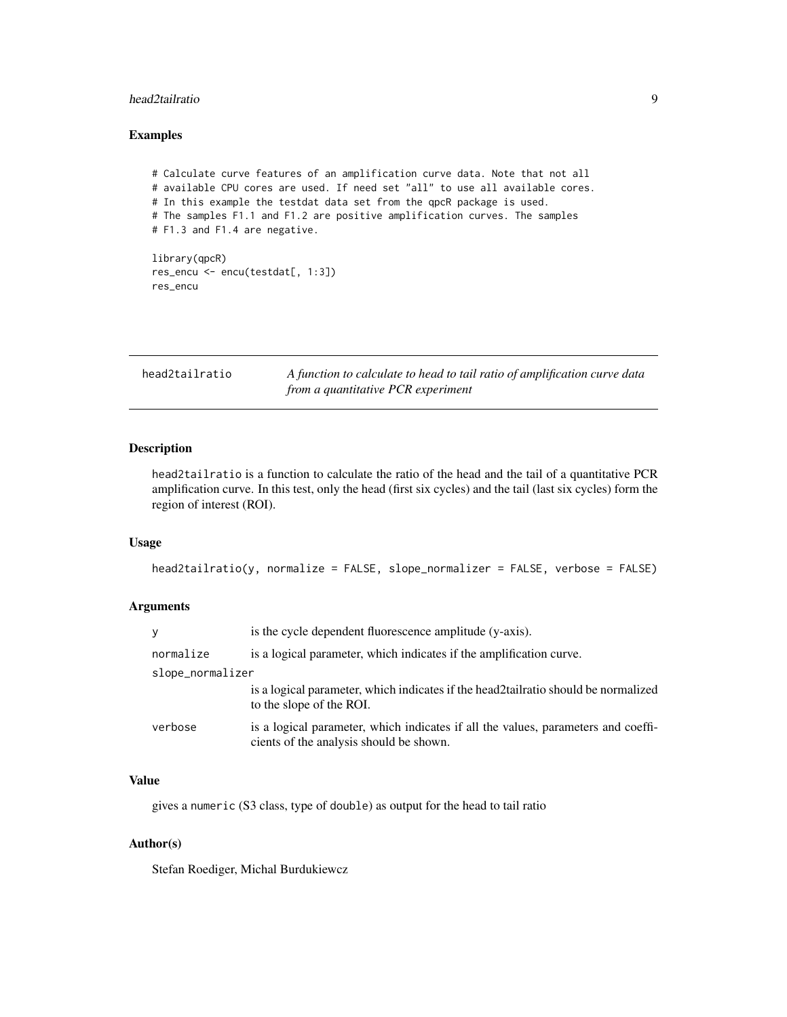# <span id="page-8-0"></span>head2tailratio 9

# Examples

```
# Calculate curve features of an amplification curve data. Note that not all
# available CPU cores are used. If need set "all" to use all available cores.
# In this example the testdat data set from the qpcR package is used.
# The samples F1.1 and F1.2 are positive amplification curves. The samples
# F1.3 and F1.4 are negative.
library(qpcR)
res_encu <- encu(testdat[, 1:3])
res_encu
```
<span id="page-8-1"></span>

| head2tailratio | A function to calculate to head to tail ratio of amplification curve data |
|----------------|---------------------------------------------------------------------------|
|                | from a quantitative PCR experiment                                        |

# Description

head2tailratio is a function to calculate the ratio of the head and the tail of a quantitative PCR amplification curve. In this test, only the head (first six cycles) and the tail (last six cycles) form the region of interest (ROI).

# Usage

```
head2tailratio(y, normalize = FALSE, slope_normalizer = FALSE, verbose = FALSE)
```
# Arguments

| y                | is the cycle dependent fluorescence amplitude (y-axis).                                                                      |
|------------------|------------------------------------------------------------------------------------------------------------------------------|
| normalize        | is a logical parameter, which indicates if the amplification curve.                                                          |
| slope_normalizer |                                                                                                                              |
|                  | is a logical parameter, which indicates if the head 2 tail ratio should be normalized<br>to the slope of the ROI.            |
| verbose          | is a logical parameter, which indicates if all the values, parameters and coeffi-<br>cients of the analysis should be shown. |

# Value

gives a numeric (S3 class, type of double) as output for the head to tail ratio

# Author(s)

Stefan Roediger, Michal Burdukiewcz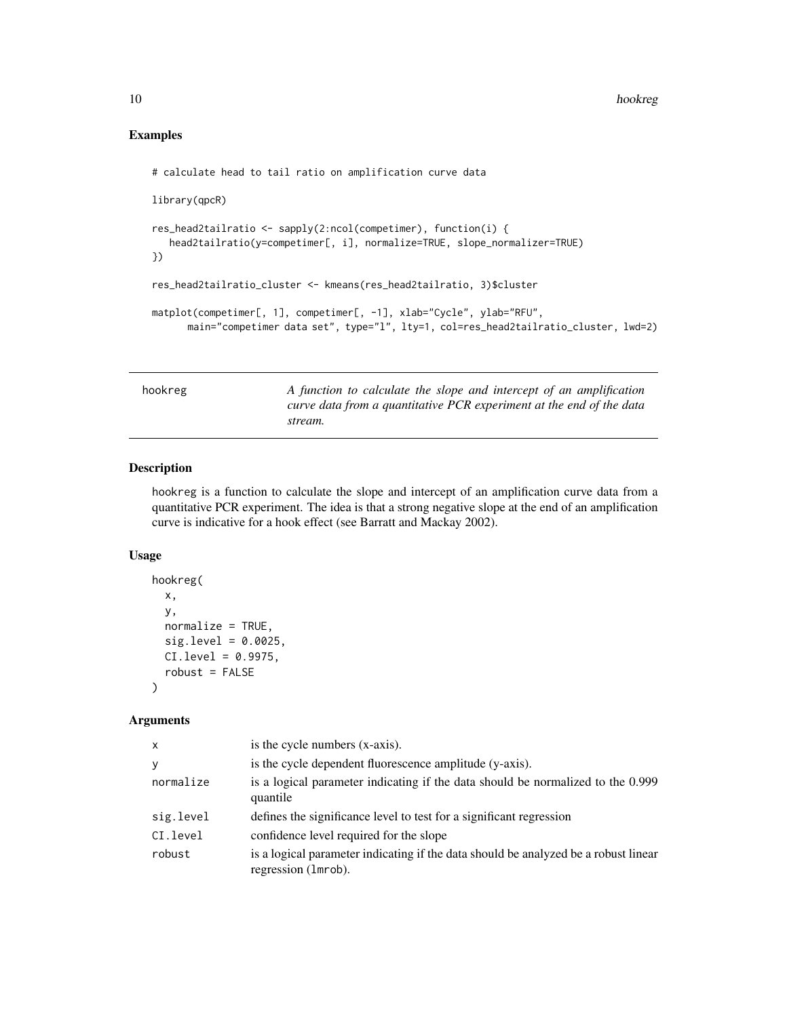# Examples

```
# calculate head to tail ratio on amplification curve data
library(qpcR)
res_head2tailratio <- sapply(2:ncol(competimer), function(i) {
   head2tailratio(y=competimer[, i], normalize=TRUE, slope_normalizer=TRUE)
})
res_head2tailratio_cluster <- kmeans(res_head2tailratio, 3)$cluster
matplot(competimer[, 1], competimer[, -1], xlab="Cycle", ylab="RFU",
      main="competimer data set", type="l", lty=1, col=res_head2tailratio_cluster, lwd=2)
```
<span id="page-9-1"></span>hookreg *A function to calculate the slope and intercept of an amplification curve data from a quantitative PCR experiment at the end of the data stream.*

# Description

hookreg is a function to calculate the slope and intercept of an amplification curve data from a quantitative PCR experiment. The idea is that a strong negative slope at the end of an amplification curve is indicative for a hook effect (see Barratt and Mackay 2002).

# Usage

```
hookreg(
  x,
  y,
  normalize = TRUE,
  sig.level = 0.0025,
 CI.level = 0.9975,
  robust = FALSE)
```
#### Arguments

| X         | is the cycle numbers (x-axis).                                                                             |
|-----------|------------------------------------------------------------------------------------------------------------|
| У         | is the cycle dependent fluorescence amplitude (y-axis).                                                    |
| normalize | is a logical parameter indicating if the data should be normalized to the 0.999<br>quantile                |
| sig.level | defines the significance level to test for a significant regression                                        |
| CI.level  | confidence level required for the slope                                                                    |
| robust    | is a logical parameter indicating if the data should be analyzed be a robust linear<br>regression (1mrob). |

<span id="page-9-0"></span>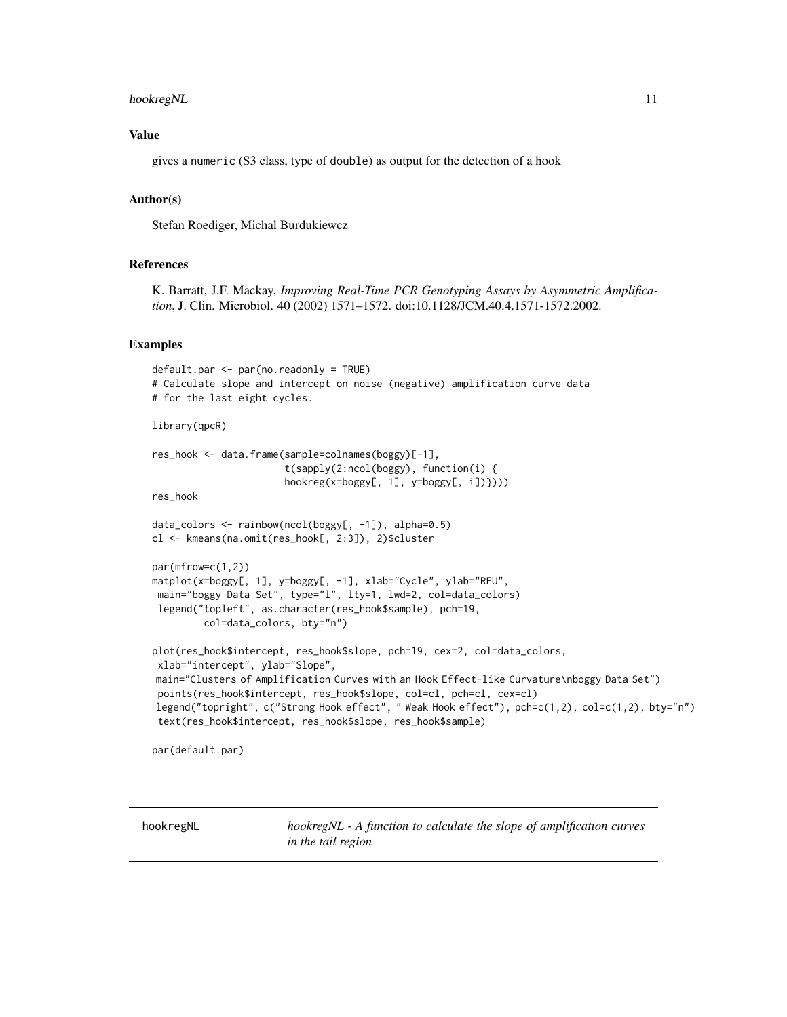#### <span id="page-10-0"></span>hookregNL 11

# Value

gives a numeric (S3 class, type of double) as output for the detection of a hook

# Author(s)

Stefan Roediger, Michal Burdukiewcz

# References

K. Barratt, J.F. Mackay, *Improving Real-Time PCR Genotyping Assays by Asymmetric Amplification*, J. Clin. Microbiol. 40 (2002) 1571–1572. doi:10.1128/JCM.40.4.1571-1572.2002.

# Examples

```
default.par <- par(no.readonly = TRUE)
# Calculate slope and intercept on noise (negative) amplification curve data
# for the last eight cycles.
library(qpcR)
res_hook <- data.frame(sample=colnames(boggy)[-1],
                       t(sapply(2:ncol(boggy), function(i) {
                       hookreg(x=boggy[, 1], y=boggy[, i])})))
res_hook
data_colors <- rainbow(ncol(boggy[, -1]), alpha=0.5)
cl <- kmeans(na.omit(res_hook[, 2:3]), 2)$cluster
par(mfrow=c(1,2))
matplot(x=boggy[, 1], y=boggy[, -1], xlab="Cycle", ylab="RFU",
main="boggy Data Set", type="l", lty=1, lwd=2, col=data_colors)
legend("topleft", as.character(res_hook$sample), pch=19,
         col=data_colors, bty="n")
plot(res_hook$intercept, res_hook$slope, pch=19, cex=2, col=data_colors,
xlab="intercept", ylab="Slope",
main="Clusters of Amplification Curves with an Hook Effect-like Curvature\nboggy Data Set")
points(res_hook$intercept, res_hook$slope, col=cl, pch=cl, cex=cl)
legend("topright", c("Strong Hook effect", " Weak Hook effect"), pch=c(1,2), col=c(1,2), bty="n")
text(res_hook$intercept, res_hook$slope, res_hook$sample)
```
par(default.par)

<span id="page-10-1"></span>hookregNL *hookregNL - A function to calculate the slope of amplification curves in the tail region*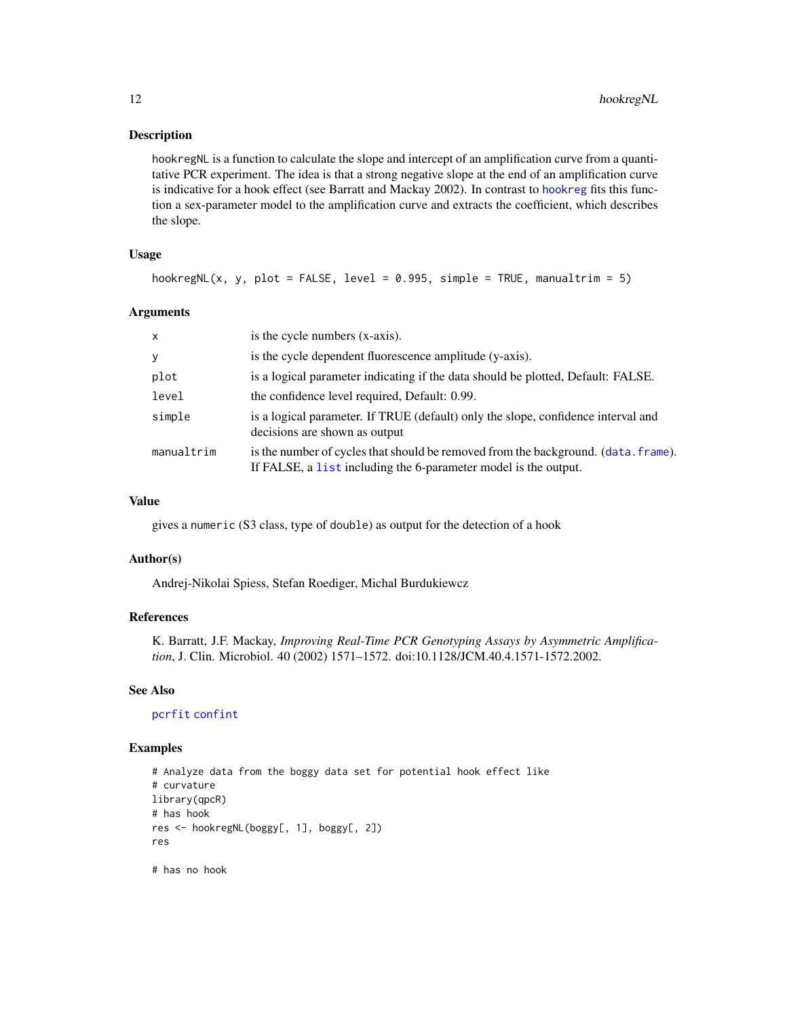# <span id="page-11-0"></span>Description

hookregNL is a function to calculate the slope and intercept of an amplification curve from a quantitative PCR experiment. The idea is that a strong negative slope at the end of an amplification curve is indicative for a hook effect (see Barratt and Mackay 2002). In contrast to [hookreg](#page-9-1) fits this function a sex-parameter model to the amplification curve and extracts the coefficient, which describes the slope.

# Usage

hookregNL(x, y, plot = FALSE, level = 0.995, simple = TRUE, manualtrim = 5)

# Arguments

| $\mathsf{x}$ | is the cycle numbers (x-axis).                                                                                                                        |
|--------------|-------------------------------------------------------------------------------------------------------------------------------------------------------|
| y            | is the cycle dependent fluorescence amplitude (y-axis).                                                                                               |
| plot         | is a logical parameter indicating if the data should be plotted, Default: FALSE.                                                                      |
| level        | the confidence level required, Default: 0.99.                                                                                                         |
| simple       | is a logical parameter. If TRUE (default) only the slope, confidence interval and<br>decisions are shown as output                                    |
| manualtrim   | is the number of cycles that should be removed from the background. (data. frame).<br>If FALSE, a list including the 6-parameter model is the output. |

# Value

gives a numeric (S3 class, type of double) as output for the detection of a hook

# Author(s)

Andrej-Nikolai Spiess, Stefan Roediger, Michal Burdukiewcz

# References

K. Barratt, J.F. Mackay, *Improving Real-Time PCR Genotyping Assays by Asymmetric Amplification*, J. Clin. Microbiol. 40 (2002) 1571–1572. doi:10.1128/JCM.40.4.1571-1572.2002.

#### See Also

[pcrfit](#page-0-0) [confint](#page-0-0)

# Examples

```
# Analyze data from the boggy data set for potential hook effect like
# curvature
library(qpcR)
# has hook
res <- hookregNL(boggy[, 1], boggy[, 2])
res
```
# has no hook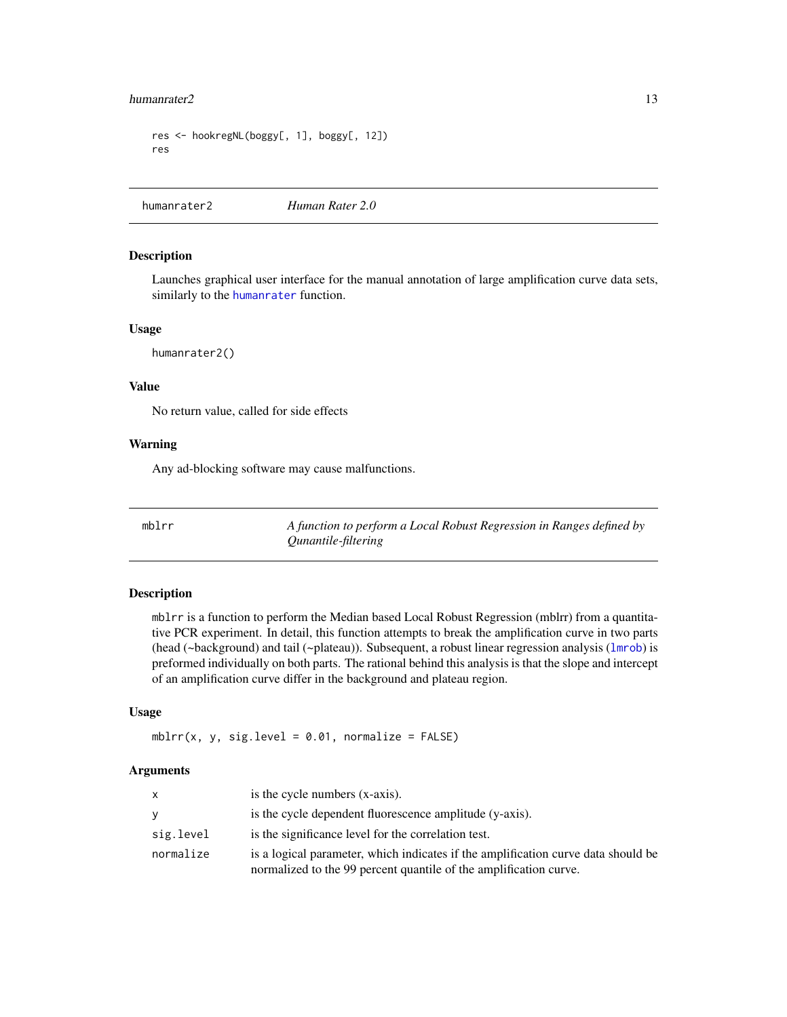#### <span id="page-12-0"></span>humanrater2 13

```
res <- hookregNL(boggy[, 1], boggy[, 12])
res
```
humanrater2 *Human Rater 2.0*

# Description

Launches graphical user interface for the manual annotation of large amplification curve data sets, similarly to the [humanrater](#page-0-0) function.

# Usage

humanrater2()

# Value

No return value, called for side effects

# Warning

Any ad-blocking software may cause malfunctions.

<span id="page-12-1"></span>mblrr *A function to perform a Local Robust Regression in Ranges defined by Qunantile-filtering*

# Description

mblrr is a function to perform the Median based Local Robust Regression (mblrr) from a quantitative PCR experiment. In detail, this function attempts to break the amplification curve in two parts (head (~background) and tail (~plateau)). Subsequent, a robust linear regression analysis ([lmrob](#page-0-0)) is preformed individually on both parts. The rational behind this analysis is that the slope and intercept of an amplification curve differ in the background and plateau region.

# Usage

mblrr(x, y, sig.level =  $0.01$ , normalize =  $FALSE$ )

# Arguments

| $\mathsf{x}$ | is the cycle numbers (x-axis).                                                                                                                         |
|--------------|--------------------------------------------------------------------------------------------------------------------------------------------------------|
| <b>y</b>     | is the cycle dependent fluorescence amplitude (y-axis).                                                                                                |
| sig.level    | is the significance level for the correlation test.                                                                                                    |
| normalize    | is a logical parameter, which indicates if the amplification curve data should be<br>normalized to the 99 percent quantile of the amplification curve. |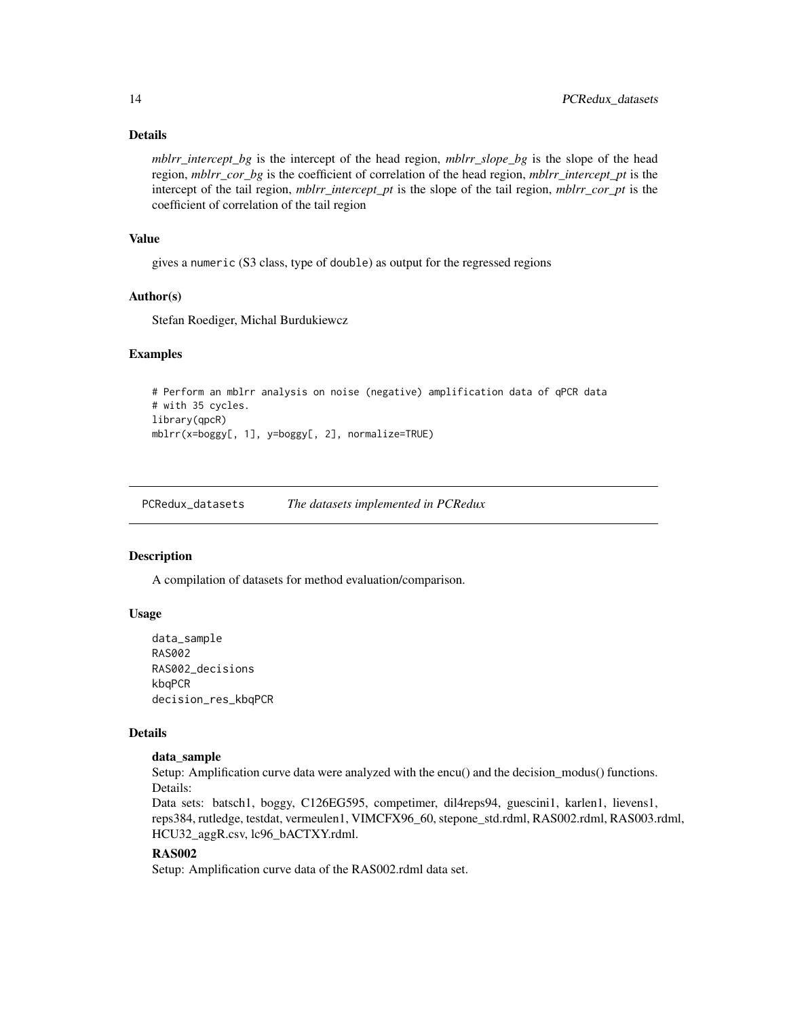# Details

*mblrr* intercept bg is the intercept of the head region, *mblrr* slope bg is the slope of the head region, *mblrr\_cor\_bg* is the coefficient of correlation of the head region, *mblrr\_intercept\_pt* is the intercept of the tail region, *mblrr\_intercept\_pt* is the slope of the tail region, *mblrr\_cor\_pt* is the coefficient of correlation of the tail region

# Value

gives a numeric (S3 class, type of double) as output for the regressed regions

# Author(s)

Stefan Roediger, Michal Burdukiewcz

# Examples

```
# Perform an mblrr analysis on noise (negative) amplification data of qPCR data
# with 35 cycles.
library(qpcR)
mblrr(x=boggy[, 1], y=boggy[, 2], normalize=TRUE)
```
PCRedux\_datasets *The datasets implemented in PCRedux*

# Description

A compilation of datasets for method evaluation/comparison.

# Usage

```
data_sample
RAS002
RAS002_decisions
kbqPCR
decision_res_kbqPCR
```
# Details

# data\_sample

Setup: Amplification curve data were analyzed with the encu() and the decision\_modus() functions. Details:

Data sets: batsch1, boggy, C126EG595, competimer, dil4reps94, guescini1, karlen1, lievens1, reps384, rutledge, testdat, vermeulen1, VIMCFX96\_60, stepone\_std.rdml, RAS002.rdml, RAS003.rdml, HCU32\_aggR.csv, lc96\_bACTXY.rdml.

# RAS002

Setup: Amplification curve data of the RAS002.rdml data set.

<span id="page-13-0"></span>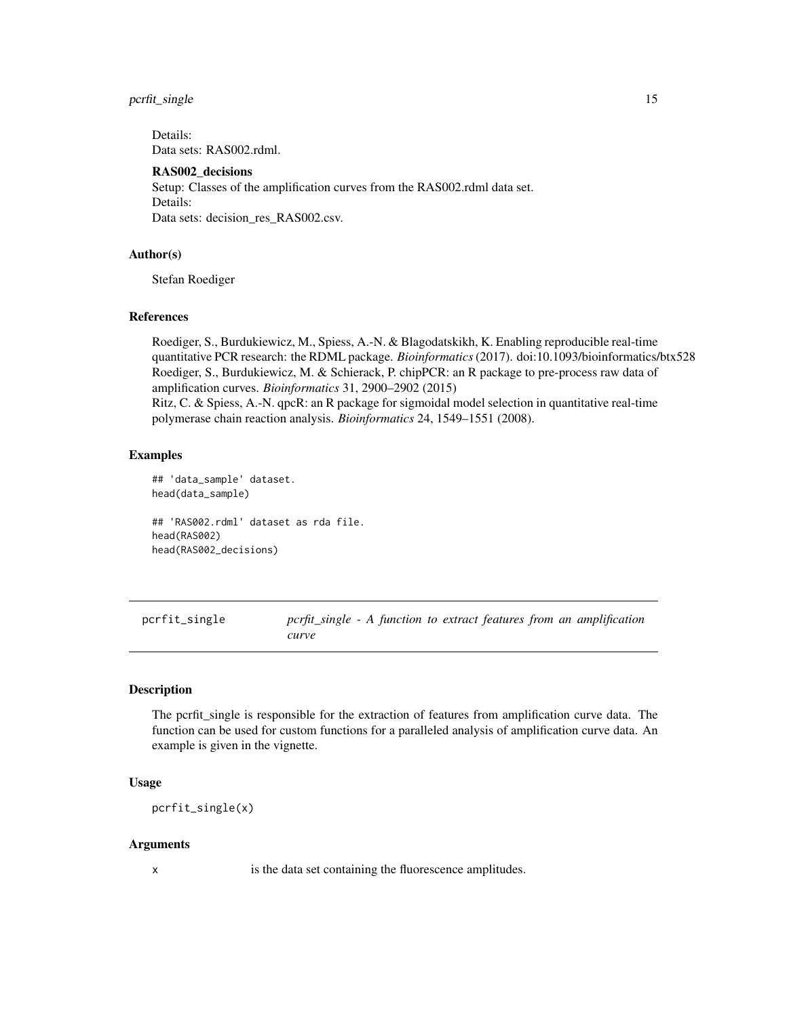# <span id="page-14-0"></span>pcrfit\_single 15

Details: Data sets: RAS002.rdml.

# RAS002\_decisions

Setup: Classes of the amplification curves from the RAS002.rdml data set. Details: Data sets: decision\_res\_RAS002.csv.

# Author(s)

Stefan Roediger

# References

Roediger, S., Burdukiewicz, M., Spiess, A.-N. & Blagodatskikh, K. Enabling reproducible real-time quantitative PCR research: the RDML package. *Bioinformatics*(2017). doi:10.1093/bioinformatics/btx528 Roediger, S., Burdukiewicz, M. & Schierack, P. chipPCR: an R package to pre-process raw data of amplification curves. *Bioinformatics* 31, 2900–2902 (2015)

Ritz, C. & Spiess, A.-N. qpcR: an R package for sigmoidal model selection in quantitative real-time polymerase chain reaction analysis. *Bioinformatics* 24, 1549–1551 (2008).

# Examples

```
## 'data_sample' dataset.
head(data_sample)
## 'RAS002.rdml' dataset as rda file.
head(RAS002)
head(RAS002_decisions)
```
<span id="page-14-1"></span>pcrfit\_single *pcrfit\_single - A function to extract features from an amplification curve*

# Description

The pcrfit\_single is responsible for the extraction of features from amplification curve data. The function can be used for custom functions for a paralleled analysis of amplification curve data. An example is given in the vignette.

# Usage

pcrfit\_single(x)

# **Arguments**

x is the data set containing the fluorescence amplitudes.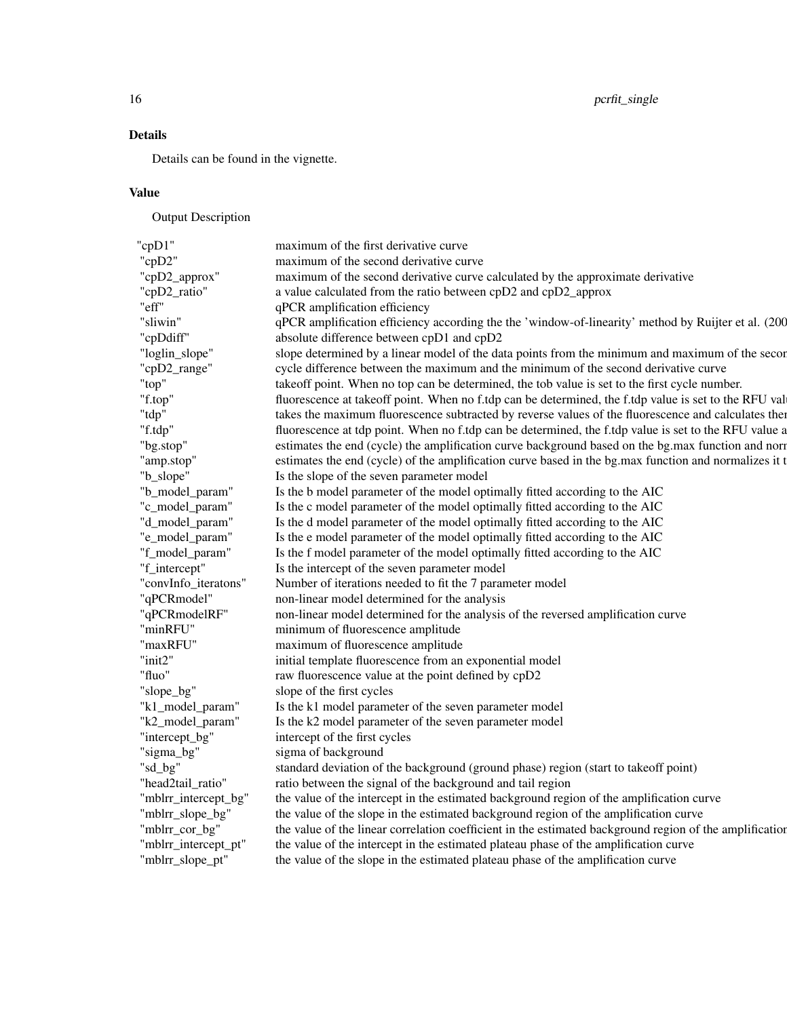# Details

Details can be found in the vignette.

# Value

Output Description

| "cp $D1$ "           | maximum of the first derivative curve                                                                   |
|----------------------|---------------------------------------------------------------------------------------------------------|
| "cpD2"               | maximum of the second derivative curve                                                                  |
| "cpD2_approx"        | maximum of the second derivative curve calculated by the approximate derivative                         |
| "cpD2_ratio"         | a value calculated from the ratio between cpD2 and cpD2_approx                                          |
| "eff"                | qPCR amplification efficiency                                                                           |
| "sliwin"             | qPCR amplification efficiency according the the 'window-of-linearity' method by Ruijter et al. (200     |
| "cpDdiff"            | absolute difference between cpD1 and cpD2                                                               |
| "loglin_slope"       | slope determined by a linear model of the data points from the minimum and maximum of the secon         |
| "cpD2_range"         | cycle difference between the maximum and the minimum of the second derivative curve                     |
| 'top"                | takeoff point. When no top can be determined, the tob value is set to the first cycle number.           |
| "f.top"              | fluorescence at takeoff point. When no f.tdp can be determined, the f.tdp value is set to the RFU val   |
| "tdp"                | takes the maximum fluorescence subtracted by reverse values of the fluorescence and calculates then     |
| "f.tdp"              | fluorescence at tdp point. When no f.tdp can be determined, the f.tdp value is set to the RFU value a   |
| "bg.stop"            | estimates the end (cycle) the amplification curve background based on the bg.max function and norr      |
| "amp.stop"           | estimates the end (cycle) of the amplification curve based in the bg.max function and normalizes it t   |
| "b_slope"            | Is the slope of the seven parameter model                                                               |
| "b_model_param"      | Is the b model parameter of the model optimally fitted according to the AIC                             |
| "c_model_param'      | Is the c model parameter of the model optimally fitted according to the AIC                             |
| "d_model_param"      | Is the d model parameter of the model optimally fitted according to the AIC                             |
| "e_model_param'      | Is the e model parameter of the model optimally fitted according to the AIC                             |
| "f_model_param"      | Is the f model parameter of the model optimally fitted according to the AIC                             |
| "f_intercept"        | Is the intercept of the seven parameter model                                                           |
| "convInfo_iteratons" | Number of iterations needed to fit the 7 parameter model                                                |
| "qPCRmodel"          | non-linear model determined for the analysis                                                            |
| "qPCRmodelRF"        | non-linear model determined for the analysis of the reversed amplification curve                        |
| "minRFU"             | minimum of fluorescence amplitude                                                                       |
| "maxRFU"             | maximum of fluorescence amplitude                                                                       |
| " $init2"$           | initial template fluorescence from an exponential model                                                 |
| "fluo"               | raw fluorescence value at the point defined by cpD2                                                     |
| "slope_bg"           | slope of the first cycles                                                                               |
| "k1_model_param'     | Is the k1 model parameter of the seven parameter model                                                  |
| "k2_model_param'     | Is the k2 model parameter of the seven parameter model                                                  |
| "intercept_bg"       | intercept of the first cycles                                                                           |
| "sigma_bg"           | sigma of background                                                                                     |
| "sd_bg"              | standard deviation of the background (ground phase) region (start to takeoff point)                     |
| "head2tail_ratio"    | ratio between the signal of the background and tail region                                              |
| "mblrr_intercept_bg" | the value of the intercept in the estimated background region of the amplification curve                |
| "mblrr_slope_bg"     | the value of the slope in the estimated background region of the amplification curve                    |
| "mblrr_cor_bg"       | the value of the linear correlation coefficient in the estimated background region of the amplification |
| "mblrr_intercept_pt" | the value of the intercept in the estimated plateau phase of the amplification curve                    |
| "mblrr_slope_pt"     | the value of the slope in the estimated plateau phase of the amplification curve                        |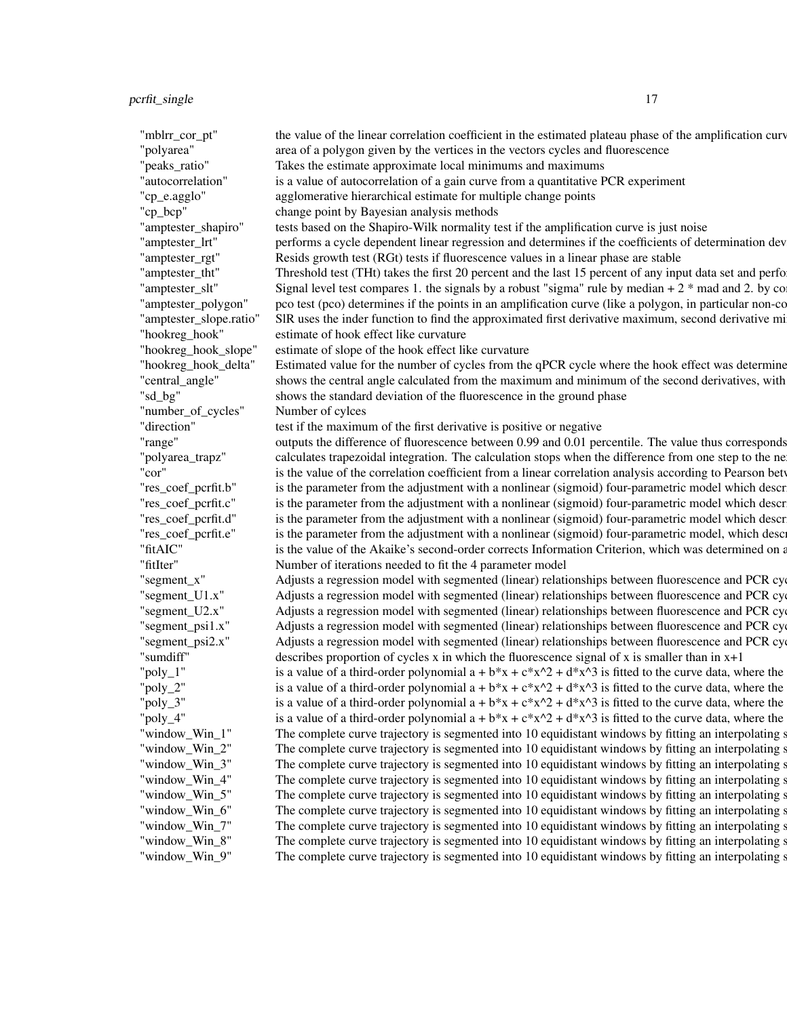"mblrr\_cor\_pt" the value of the linear correlation coefficient in the estimated plateau phase of the amplification curve "polyarea" area of a polygon given by the vertices in the vectors cycles and fluorescence "beaks ratio" Takes the estimate approximate local minimums and maximums "autocorrelation" is a value of autocorrelation of a gain curve from a quantitative PCR experiment "cp\_e.agglo" agglomerative hierarchical estimate for multiple change points "cp\_bcp" change point by Bayesian analysis methods numeric numeric numeric change point by Bayesian analysis methods "amptester\_shapiro" tests based on the Shapiro-Wilk normality test if the amplification curve is just noise "amptester\_lrt" performs a cycle dependent linear regression and determines if the coefficients of determination dev "amptester\_rgt" Resids growth test (RGt) tests if fluorescence values in a linear phase are stable "amptester\_tht" Threshold test (THt) takes the first 20 percent and the last 15 percent of any input data set and perfo "amptester\_slt" Signal level test compares 1. the signals by a robust "sigma" rule by median +  $2$  \* mad and  $2$ . by comparison of the signal level test compares 1. the signals by a robust "sigma" rule by median +  $2$  \* m "amptester\_polygon" pco test (pco) determines if the points in an amplification curve (like a polygon, in particular non-convex polygons) "amptester\_slope.ratio" SIR uses the inder function to find the approximated first derivative maximum, second derivative mi "hookreg\_hook" estimate of hook effect like curvature binary binary estimate of hook effect like curvature "hookreg\_hook\_slope" estimate of slope of the hook effect like curvature "hookreg\_hook\_delta" Estimated value for the number of cycles from the qPCR cycle where the hook effect was determine "central\_angle" shows the central angle calculated from the maximum and minimum of the second derivatives, with "sd\_bg" shows the standard deviation of the fluorescence in the ground phase "number\_of\_cycles" Number of cylces numeric numeric numeric numeric numeric numeric numeric numeric numeric numeric numeric numeric numeric numeric numeric numeric numeric numeric numeric numeric numeric numeric numeric nu "direction" test if the maximum of the first derivative is positive or negative "range" outputs the difference of fluorescence between 0.99 and 0.01 percentile. The value thus corresponds "polyarea\_trapz" calculates trapezoidal integration. The calculation stops when the difference from one step to the ne "cor" is the value of the correlation coefficient from a linear correlation analysis according to Pearson between all PCR cycles and the fluorescence signals. The fluorescence signals and the fluorescence signals. The fluo "res\_coef\_pcrfit.b" is the parameter from the adjustment with a nonlinear (sigmoid) four-parametric model which descr "res\_coef\_pcrfit.c" is the parameter from the adjustment with a nonlinear (sigmoid) four-parametric model which descr "res\_coef\_pcrfit.d" is the parameter from the adjustment with a nonlinear (sigmoid) four-parametric model which descr "res\_coef\_pcrfit.e" is the parameter from the adjustment with a nonlinear (sigmoid) four-parametric model, which describes the point of influent of influent on the sigmoid contraction on the sigmoid contraction describes t "fitAIC" is the value of the Akaike's second-order corrects Information Criterion, which was determined on a "fitIter" Number of iterations needed to fit the 4 parameter model "segment\_x" Adjusts a regression model with segmented (linear) relationships between fluorescence and PCR cycles. "segment\_U1.x" Adjusts a regression model with segmented (linear) relationships between fluorescence and PCR cy "segment\_U2.x" Adjusts a regression model with segmented (linear) relationships between fluorescence and PCR cy "segment\_psi1.x" Adjusts a regression model with segmented (linear) relationships between fluorescence and PCR cy "segment\_psi2.x" Adjusts a regression model with segmented (linear) relationships between fluorescence and PCR cy "sumdiff" describes proportion of cycles x in which the fluorescence signal of x is smaller than in  $x+1$ "poly\_1" is a value of a third-order polynomial  $a + b*x + c*x^2 + d*x^3$  is fitted to the curve data, where the "poly\_2" is a value of a third-order polynomial  $a + b*x + c*x^2 + d*x^3$  is fitted to the curve data, where the "poly\_3" is a value of a third-order polynomial  $a + b*x + c*x^2 + d*x^3$  is fitted to the curve data, where the "poly\_4" is a value of a third-order polynomial  $a + b*x + c*x^2 + d*x^3$  is fitted to the curve data, where the "window\_Win\_1" The complete curve trajectory is segmented into 10 equidistant windows by fitting an interpolating s "window\_Win\_2" The complete curve trajectory is segmented into 10 equidistant windows by fitting an interpolating s "window\_Win\_3" The complete curve trajectory is segmented into 10 equidistant windows by fitting an interpolating s "window\_Win\_4" The complete curve trajectory is segmented into 10 equidistant windows by fitting an interpolating s "window\_Win\_5" The complete curve trajectory is segmented into 10 equidistant windows by fitting an interpolating s "window\_Win\_6" The complete curve trajectory is segmented into 10 equidistant windows by fitting an interpolating s "window\_Win\_7" The complete curve trajectory is segmented into 10 equidistant windows by fitting an interpolating s "window\_Win\_8" The complete curve trajectory is segmented into 10 equidistant windows by fitting an interpolating s "window\_Win\_9" The complete curve trajectory is segmented into 10 equidistant windows by fitting an interpolating s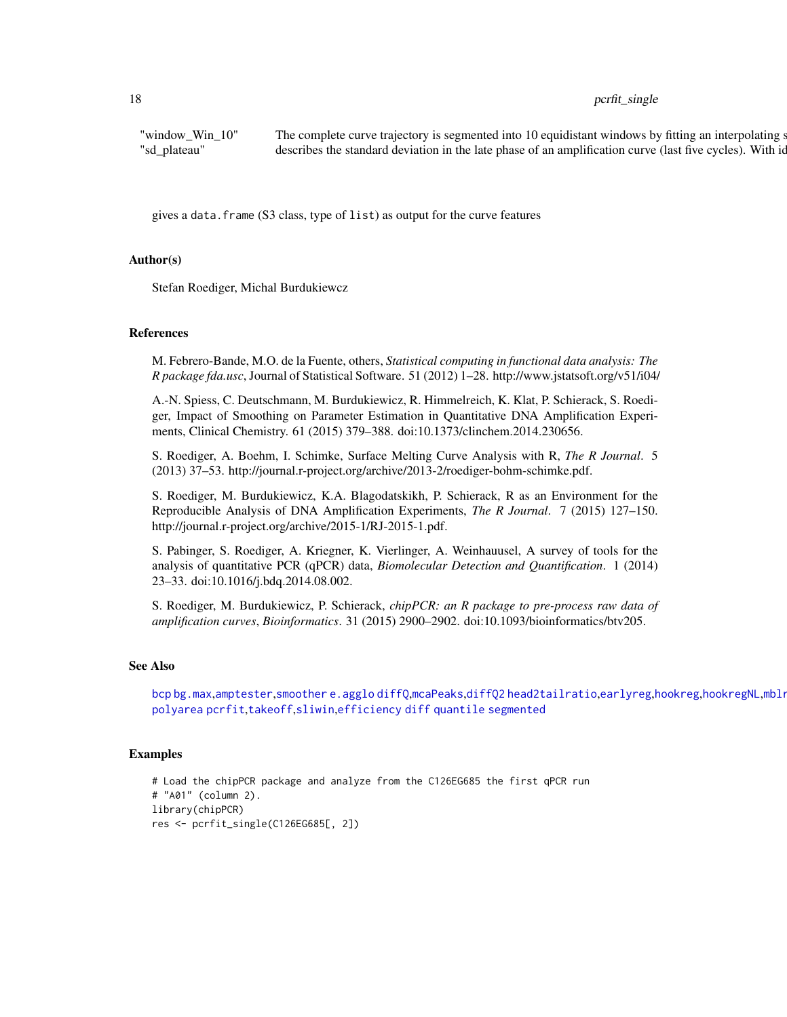# <span id="page-17-0"></span>18 perfit\_single

"window\_Win\_10" The complete curve trajectory is segmented into 10 equidistant windows by fitting an interpolating s " sd\_plateau" describes the standard deviation in the late phase of an amplification curve (last five cycles). With ideal P

gives a data.frame (S3 class, type of list) as output for the curve features

# Author(s)

Stefan Roediger, Michal Burdukiewcz

# References

M. Febrero-Bande, M.O. de la Fuente, others, *Statistical computing in functional data analysis: The R package fda.usc*, Journal of Statistical Software. 51 (2012) 1–28. http://www.jstatsoft.org/v51/i04/

A.-N. Spiess, C. Deutschmann, M. Burdukiewicz, R. Himmelreich, K. Klat, P. Schierack, S. Roediger, Impact of Smoothing on Parameter Estimation in Quantitative DNA Amplification Experiments, Clinical Chemistry. 61 (2015) 379–388. doi:10.1373/clinchem.2014.230656.

S. Roediger, A. Boehm, I. Schimke, Surface Melting Curve Analysis with R, *The R Journal*. 5 (2013) 37–53. http://journal.r-project.org/archive/2013-2/roediger-bohm-schimke.pdf.

S. Roediger, M. Burdukiewicz, K.A. Blagodatskikh, P. Schierack, R as an Environment for the Reproducible Analysis of DNA Amplification Experiments, *The R Journal*. 7 (2015) 127–150. http://journal.r-project.org/archive/2015-1/RJ-2015-1.pdf.

S. Pabinger, S. Roediger, A. Kriegner, K. Vierlinger, A. Weinhauusel, A survey of tools for the analysis of quantitative PCR (qPCR) data, *Biomolecular Detection and Quantification*. 1 (2014) 23–33. doi:10.1016/j.bdq.2014.08.002.

S. Roediger, M. Burdukiewicz, P. Schierack, *chipPCR: an R package to pre-process raw data of amplification curves*, *Bioinformatics*. 31 (2015) 2900–2902. doi:10.1093/bioinformatics/btv205.

#### See Also

[bcp](#page-0-0) [bg.max](#page-0-0),[amptester](#page-0-0),[smoother](#page-0-0) [e.agglo](#page-0-0) [diffQ](#page-0-0),[mcaPeaks](#page-0-0),[diffQ2](#page-0-0) [head2tailratio](#page-8-1),[earlyreg](#page-6-1),[hookreg](#page-9-1),[hookregNL](#page-10-1),mblr [polyarea](#page-0-0) [pcrfit](#page-0-0),[takeoff](#page-0-0),[sliwin](#page-0-0),[efficiency](#page-0-0) [diff](#page-0-0) [quantile](#page-0-0) [segmented](#page-0-0)

#### Examples

# Load the chipPCR package and analyze from the C126EG685 the first qPCR run # "A01" (column 2). library(chipPCR) res <- pcrfit\_single(C126EG685[, 2])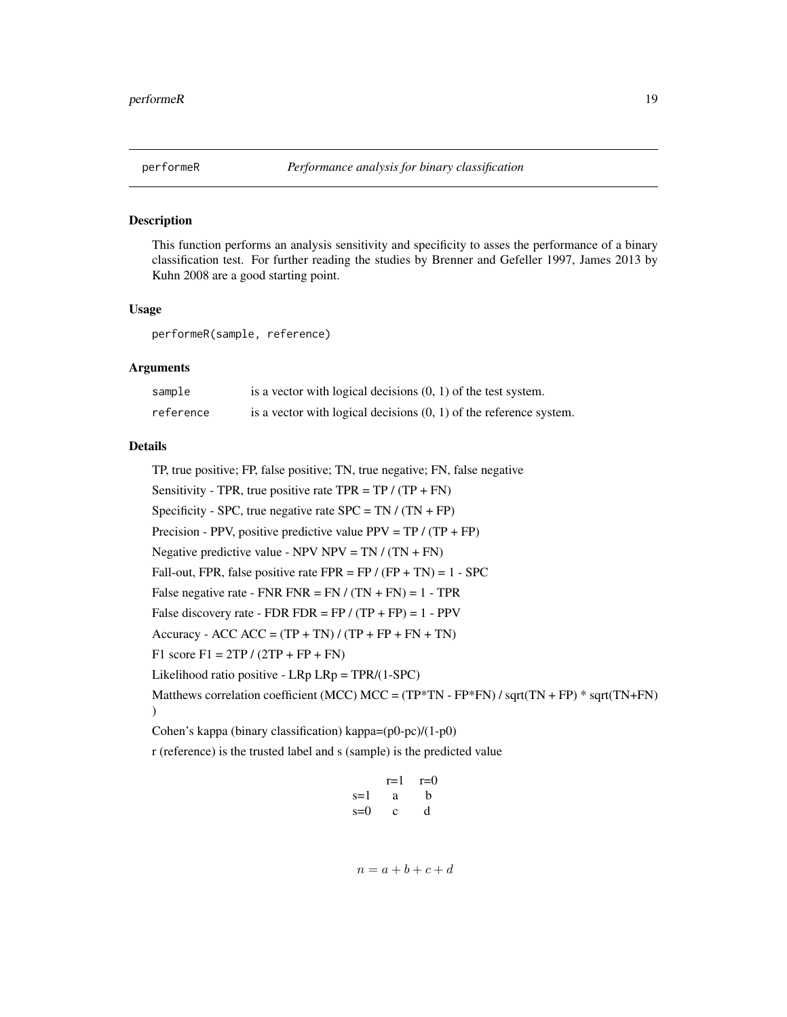<span id="page-18-0"></span>

# Description

This function performs an analysis sensitivity and specificity to asses the performance of a binary classification test. For further reading the studies by Brenner and Gefeller 1997, James 2013 by Kuhn 2008 are a good starting point.

# Usage

performeR(sample, reference)

# Arguments

| sample    | is a vector with logical decisions $(0, 1)$ of the test system.      |
|-----------|----------------------------------------------------------------------|
| reference | is a vector with logical decisions $(0, 1)$ of the reference system. |

# Details

TP, true positive; FP, false positive; TN, true negative; FN, false negative Sensitivity - TPR, true positive rate TPR = TP /  $(TP + FN)$ Specificity - SPC, true negative rate  $SPC = TN / (TN + FP)$ Precision - PPV, positive predictive value PPV =  $TP / (TP + FP)$ Negative predictive value - NPV NPV =  $TN / (TN + FN)$ Fall-out, FPR, false positive rate FPR = FP /  $(FP + TN) = 1 - SPC$ False negative rate - FNR FNR = FN  $/(TN + FN) = 1 - TPR$ False discovery rate - FDR FDR = FP  $/(TP + FP) = 1 - PPV$ Accuracy - ACC ACC =  $(TP + TN) / (TP + FP + FN + TN)$ F1 score F1 =  $2TP / (2TP + FP + FN)$ Likelihood ratio positive - LRp LRp = TPR/(1-SPC) Matthews correlation coefficient (MCC) MCC = (TP\*TN -  $FP*FN$ ) / sqrt(TN + FP) \* sqrt(TN+FN) ) Cohen's kappa (binary classification) kappa=(p0-pc)/(1-p0)

r (reference) is the trusted label and s (sample) is the predicted value

|       | r=1 | $r=0$ |
|-------|-----|-------|
| $s=1$ | a   | b     |
| $s=0$ | с   | d     |

$$
n = a + b + c + d
$$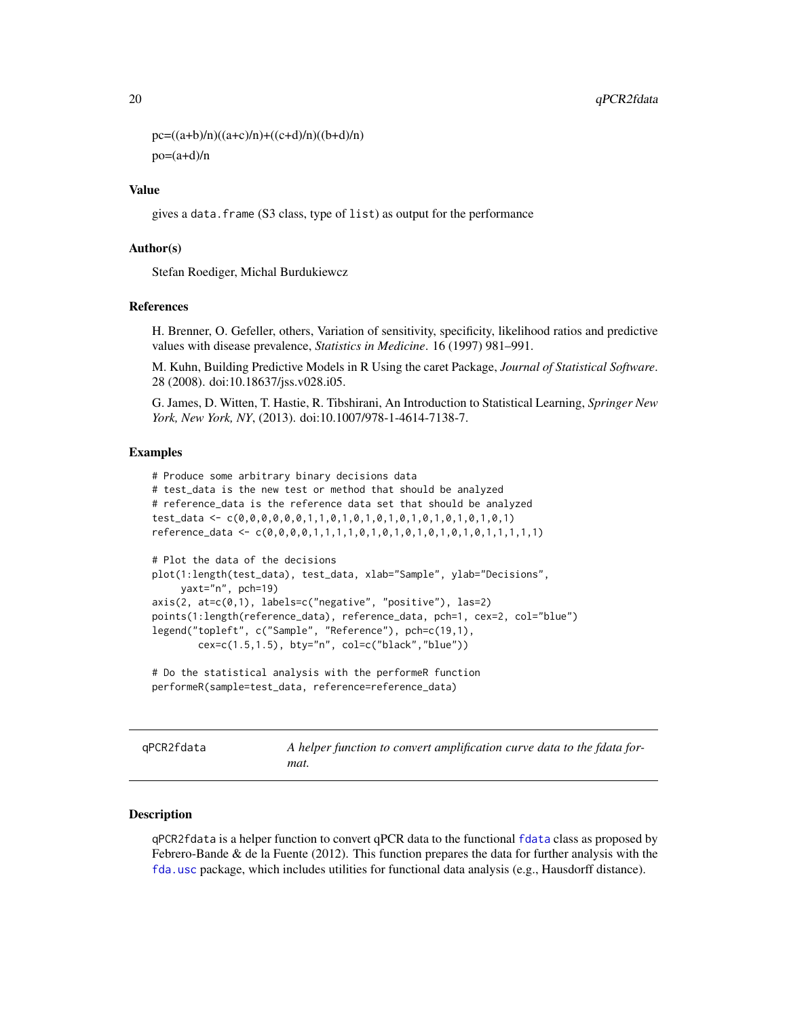```
pc=((a+b)/n)((a+c)/n)+((c+d)/n)((b+d)/n)po=(a+d)/n
```
# Value

gives a data.frame (S3 class, type of list) as output for the performance

# Author(s)

Stefan Roediger, Michal Burdukiewcz

## References

H. Brenner, O. Gefeller, others, Variation of sensitivity, specificity, likelihood ratios and predictive values with disease prevalence, *Statistics in Medicine*. 16 (1997) 981–991.

M. Kuhn, Building Predictive Models in R Using the caret Package, *Journal of Statistical Software*. 28 (2008). doi:10.18637/jss.v028.i05.

G. James, D. Witten, T. Hastie, R. Tibshirani, An Introduction to Statistical Learning, *Springer New York, New York, NY*, (2013). doi:10.1007/978-1-4614-7138-7.

# Examples

```
# Produce some arbitrary binary decisions data
# test_data is the new test or method that should be analyzed
# reference_data is the reference data set that should be analyzed
test_data <- c(0,0,0,0,0,0,1,1,0,1,0,1,0,1,0,1,0,1,0,1,0,1,0,1)
reference_data <- c(0,0,0,0,1,1,1,1,0,1,0,1,0,1,0,1,0,1,0,1,1,1,1,1)
# Plot the data of the decisions
plot(1:length(test_data), test_data, xlab="Sample", ylab="Decisions",
     yaxt="n", pch=19)
axis(2, at=c(0,1), labels=c("negative", "positive"), las=2)
points(1:length(reference_data), reference_data, pch=1, cex=2, col="blue")
legend("topleft", c("Sample", "Reference"), pch=c(19,1),
       cex=c(1.5,1.5), bty="n", col=c("black","blue"))
```

```
# Do the statistical analysis with the performeR function
performeR(sample=test_data, reference=reference_data)
```
<span id="page-19-1"></span>qPCR2fdata *A helper function to convert amplification curve data to the fdata format.*

#### Description

qPCR2fdata is a helper function to convert qPCR data to the functional [fdata](#page-0-0) class as proposed by Febrero-Bande  $\&$  de la Fuente (2012). This function prepares the data for further analysis with the [fda.usc](#page-0-0) package, which includes utilities for functional data analysis (e.g., Hausdorff distance).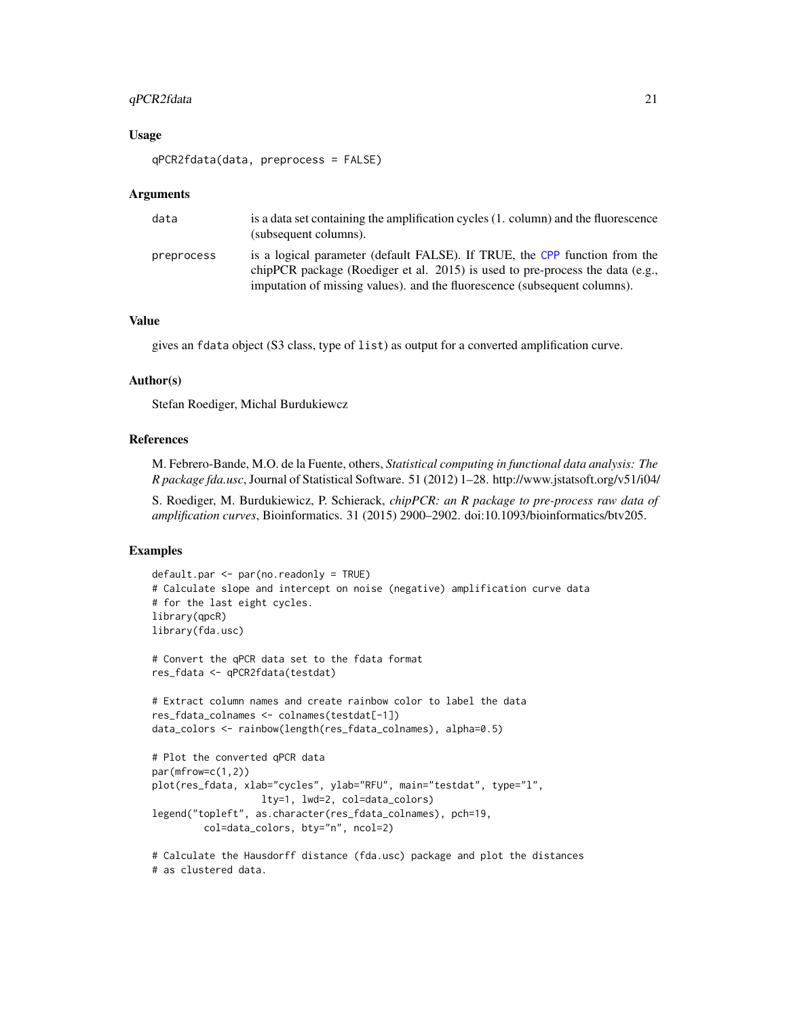# <span id="page-20-0"></span>qPCR2fdata 21

# Usage

```
qPCR2fdata(data, preprocess = FALSE)
```
#### Arguments

| data       | is a data set containing the amplification cycles (1, column) and the fluorescence<br>(subsequent columns).                                                                                                                                 |
|------------|---------------------------------------------------------------------------------------------------------------------------------------------------------------------------------------------------------------------------------------------|
| preprocess | is a logical parameter (default FALSE). If TRUE, the CPP function from the<br>chipPCR package (Roediger et al. $2015$ ) is used to pre-process the data (e.g.,<br>imputation of missing values), and the fluorescence (subsequent columns). |

# Value

gives an fdata object (S3 class, type of list) as output for a converted amplification curve.

# Author(s)

Stefan Roediger, Michal Burdukiewcz

#### References

M. Febrero-Bande, M.O. de la Fuente, others, *Statistical computing in functional data analysis: The R package fda.usc*, Journal of Statistical Software. 51 (2012) 1–28. http://www.jstatsoft.org/v51/i04/

S. Roediger, M. Burdukiewicz, P. Schierack, *chipPCR: an R package to pre-process raw data of amplification curves*, Bioinformatics. 31 (2015) 2900–2902. doi:10.1093/bioinformatics/btv205.

# Examples

```
default.par <- par(no.readonly = TRUE)
# Calculate slope and intercept on noise (negative) amplification curve data
# for the last eight cycles.
library(qpcR)
library(fda.usc)
# Convert the qPCR data set to the fdata format
res_fdata <- qPCR2fdata(testdat)
# Extract column names and create rainbow color to label the data
res_fdata_colnames <- colnames(testdat[-1])
data_colors <- rainbow(length(res_fdata_colnames), alpha=0.5)
# Plot the converted qPCR data
par(mfrow=c(1,2))
plot(res_fdata, xlab="cycles", ylab="RFU", main="testdat", type="l",
                   lty=1, lwd=2, col=data_colors)
legend("topleft", as.character(res_fdata_colnames), pch=19,
         col=data_colors, bty="n", ncol=2)
# Calculate the Hausdorff distance (fda.usc) package and plot the distances
# as clustered data.
```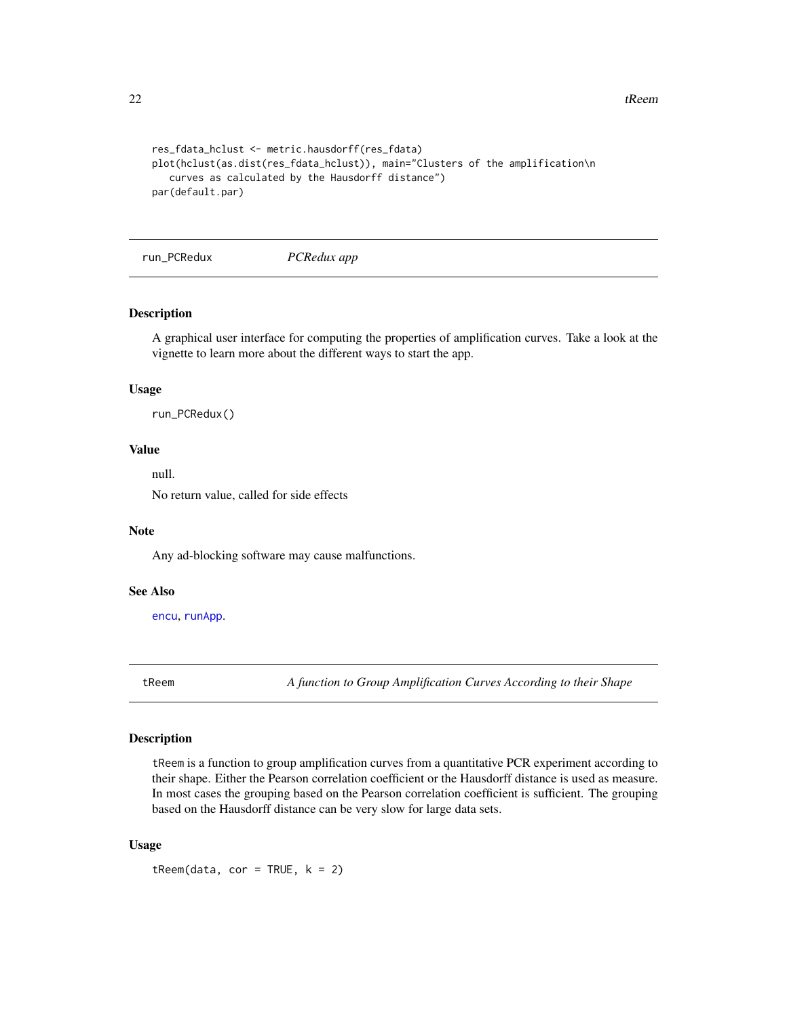<span id="page-21-0"></span> $22$  tReem

```
res_fdata_hclust <- metric.hausdorff(res_fdata)
plot(hclust(as.dist(res_fdata_hclust)), main="Clusters of the amplification\n
  curves as calculated by the Hausdorff distance")
par(default.par)
```
run\_PCRedux *PCRedux app*

# Description

A graphical user interface for computing the properties of amplification curves. Take a look at the vignette to learn more about the different ways to start the app.

#### Usage

run\_PCRedux()

# Value

null.

No return value, called for side effects

#### Note

Any ad-blocking software may cause malfunctions.

# See Also

[encu](#page-7-1), [runApp](#page-0-0).

tReem *A function to Group Amplification Curves According to their Shape*

# Description

tReem is a function to group amplification curves from a quantitative PCR experiment according to their shape. Either the Pearson correlation coefficient or the Hausdorff distance is used as measure. In most cases the grouping based on the Pearson correlation coefficient is sufficient. The grouping based on the Hausdorff distance can be very slow for large data sets.

# Usage

 $t$ Reem(data, cor = TRUE,  $k = 2$ )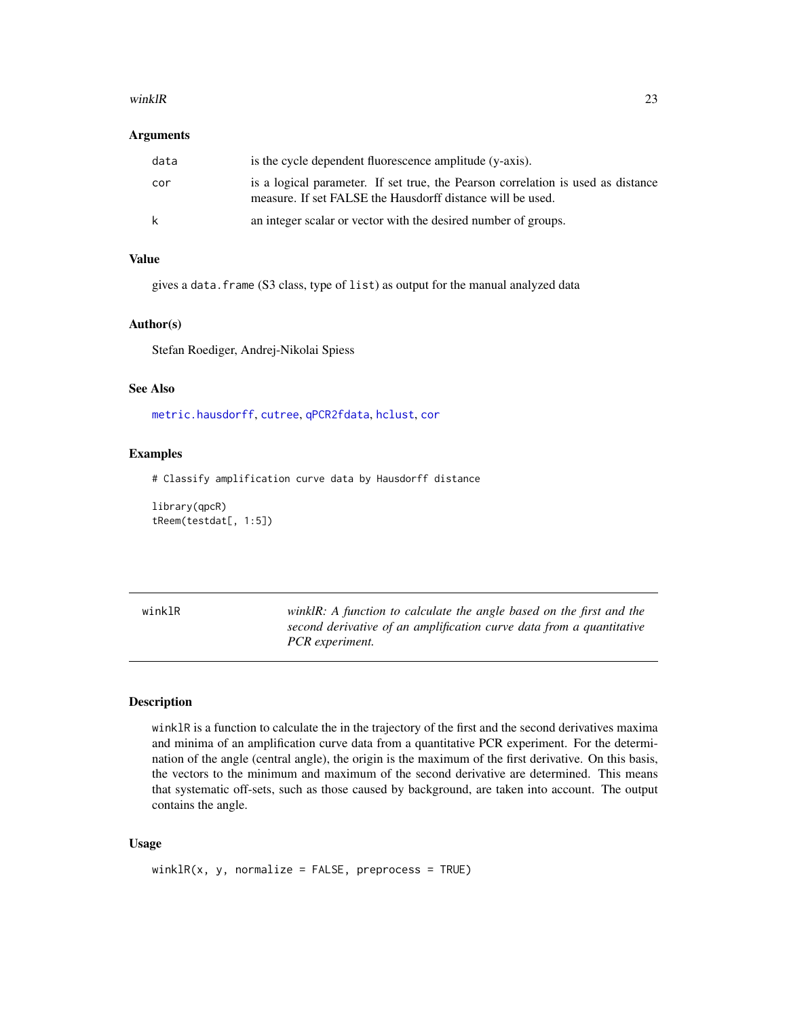#### <span id="page-22-0"></span>winklR 23

#### Arguments

| data | is the cycle dependent fluorescence amplitude (y-axis).                                                                                        |
|------|------------------------------------------------------------------------------------------------------------------------------------------------|
| cor  | is a logical parameter. If set true, the Pearson correlation is used as distance<br>measure. If set FALSE the Hausdorff distance will be used. |
| k    | an integer scalar or vector with the desired number of groups.                                                                                 |

# Value

gives a data.frame (S3 class, type of list) as output for the manual analyzed data

#### Author(s)

Stefan Roediger, Andrej-Nikolai Spiess

# See Also

[metric.hausdorff](#page-0-0), [cutree](#page-0-0), [qPCR2fdata](#page-19-1), [hclust](#page-0-0), [cor](#page-0-0)

# Examples

# Classify amplification curve data by Hausdorff distance

library(qpcR) tReem(testdat[, 1:5])

winklR *winklR: A function to calculate the angle based on the first and the second derivative of an amplification curve data from a quantitative PCR experiment.*

#### Description

winklR is a function to calculate the in the trajectory of the first and the second derivatives maxima and minima of an amplification curve data from a quantitative PCR experiment. For the determination of the angle (central angle), the origin is the maximum of the first derivative. On this basis, the vectors to the minimum and maximum of the second derivative are determined. This means that systematic off-sets, such as those caused by background, are taken into account. The output contains the angle.

#### Usage

 $winkIR(x, y, normalize = FALSE, preprocess = TRUE)$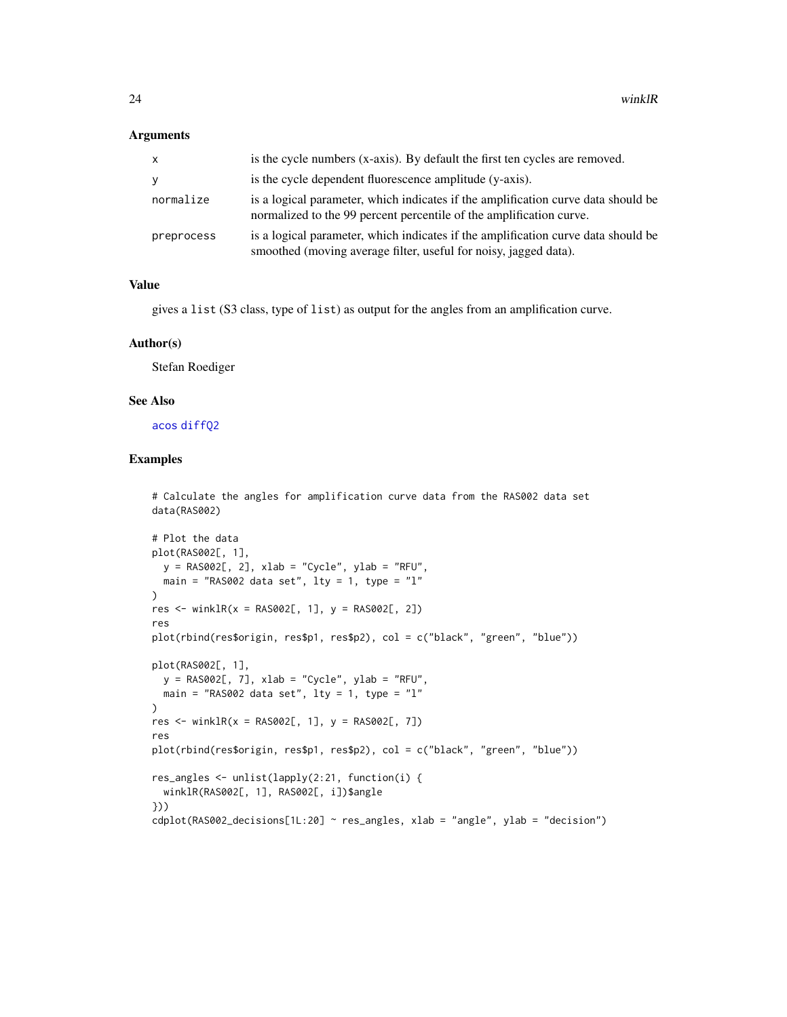# <span id="page-23-0"></span>Arguments

| $\mathsf{x}$ | is the cycle numbers (x-axis). By default the first ten cycles are removed.                                                                              |
|--------------|----------------------------------------------------------------------------------------------------------------------------------------------------------|
| У            | is the cycle dependent fluorescence amplitude (y-axis).                                                                                                  |
| normalize    | is a logical parameter, which indicates if the amplification curve data should be<br>normalized to the 99 percent percentile of the amplification curve. |
| preprocess   | is a logical parameter, which indicates if the amplification curve data should be<br>smoothed (moving average filter, useful for noisy, jagged data).    |

#### Value

gives a list (S3 class, type of list) as output for the angles from an amplification curve.

#### Author(s)

Stefan Roediger

# See Also

[acos](#page-0-0) [diffQ2](#page-0-0)

# Examples

# Calculate the angles for amplification curve data from the RAS002 data set data(RAS002)

```
# Plot the data
plot(RAS002[, 1],
 y = RAS002[, 2], xlab = "Cycle", ylab = "RFU",main = "RAS002 data set", lty = 1, type = "l"
)
res <- winklR(x = RAS002[, 1], y = RAS002[, 2]res
plot(rbind(res$origin, res$p1, res$p2), col = c("black", "green", "blue"))
plot(RAS002[, 1],
 y = RAS002[, 7], xlab = "Cycle", ylab = "RFU",main = "RAS002 data set", lty = 1, type = "l"
\lambdares <- winklR(x = RAS002[, 1], y = RAS002[, 7]res
plot(rbind(res$origin, res$p1, res$p2), col = c("black", "green", "blue"))
res_angles <- unlist(lapply(2:21, function(i) {
  winklR(RAS002[, 1], RAS002[, i])$angle
}))
cdblot(RAS002\_decisions[1L:20] ~ ~ res\_angles, xlab = "angle", ylab = "decision")
```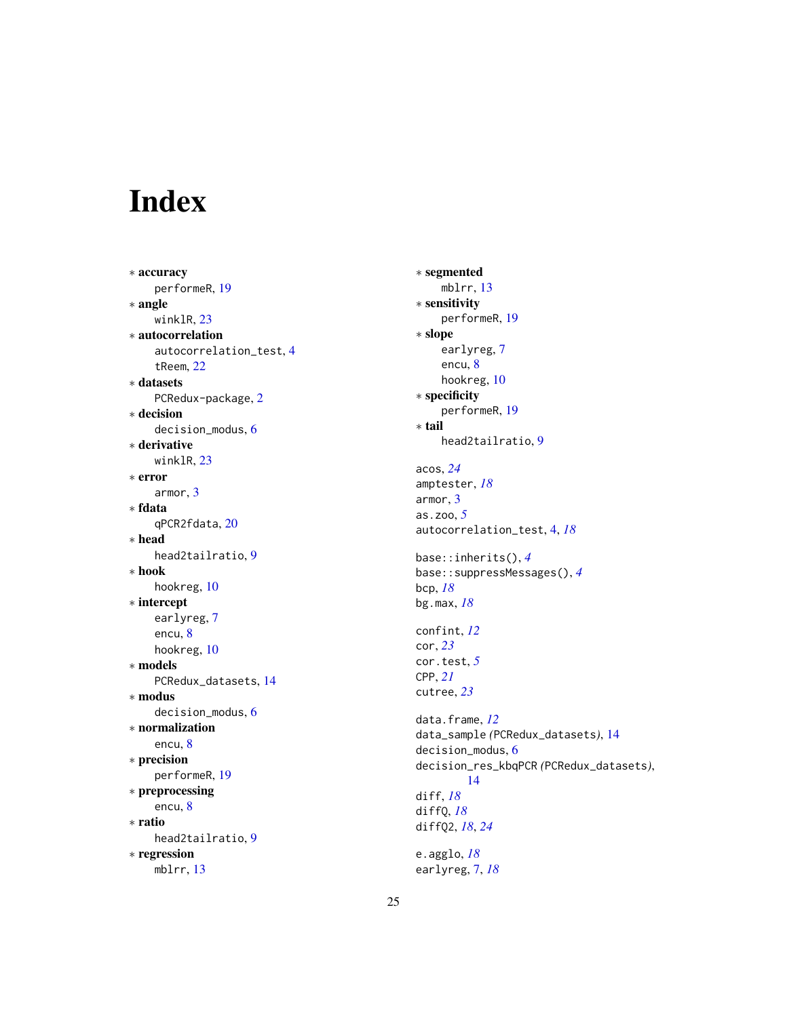# <span id="page-24-0"></span>Index

∗ accuracy performeR, [19](#page-18-0) ∗ angle winklR, [23](#page-22-0) ∗ autocorrelation autocorrelation\_test, [4](#page-3-0) tReem, [22](#page-21-0) ∗ datasets PCRedux-package, [2](#page-1-0) ∗ decision decision\_modus, [6](#page-5-0) ∗ derivative winklR, [23](#page-22-0) ∗ error armor, [3](#page-2-0) ∗ fdata qPCR2fdata, [20](#page-19-0) ∗ head head2tailratio, [9](#page-8-0) ∗ hook hookreg, [10](#page-9-0) ∗ intercept earlyreg, [7](#page-6-0) encu, [8](#page-7-0) hookreg, [10](#page-9-0) ∗ models PCRedux\_datasets, [14](#page-13-0) ∗ modus decision\_modus, [6](#page-5-0) ∗ normalization encu, [8](#page-7-0) ∗ precision performeR, [19](#page-18-0) ∗ preprocessing encu, [8](#page-7-0) ∗ ratio head2tailratio, [9](#page-8-0) ∗ regression mblrr, [13](#page-12-0)

∗ segmented mblrr, [13](#page-12-0) ∗ sensitivity performeR, [19](#page-18-0) ∗ slope earlyreg, [7](#page-6-0) encu, [8](#page-7-0) hookreg, [10](#page-9-0) ∗ specificity performeR, [19](#page-18-0) ∗ tail head2tailratio, [9](#page-8-0) acos, *[24](#page-23-0)* amptester, *[18](#page-17-0)* armor, [3](#page-2-0) as.zoo, *[5](#page-4-0)* autocorrelation\_test, [4,](#page-3-0) *[18](#page-17-0)* base::inherits(), *[4](#page-3-0)* base::suppressMessages(), *[4](#page-3-0)* bcp, *[18](#page-17-0)* bg.max, *[18](#page-17-0)* confint, *[12](#page-11-0)* cor, *[23](#page-22-0)* cor.test, *[5](#page-4-0)* CPP, *[21](#page-20-0)* cutree, *[23](#page-22-0)* data.frame, *[12](#page-11-0)* data\_sample *(*PCRedux\_datasets*)*, [14](#page-13-0) decision\_modus, [6](#page-5-0) decision\_res\_kbqPCR *(*PCRedux\_datasets*)*, [14](#page-13-0) diff, *[18](#page-17-0)* diffQ, *[18](#page-17-0)* diffQ2, *[18](#page-17-0)*, *[24](#page-23-0)* e.agglo, *[18](#page-17-0)* earlyreg, [7,](#page-6-0) *[18](#page-17-0)*